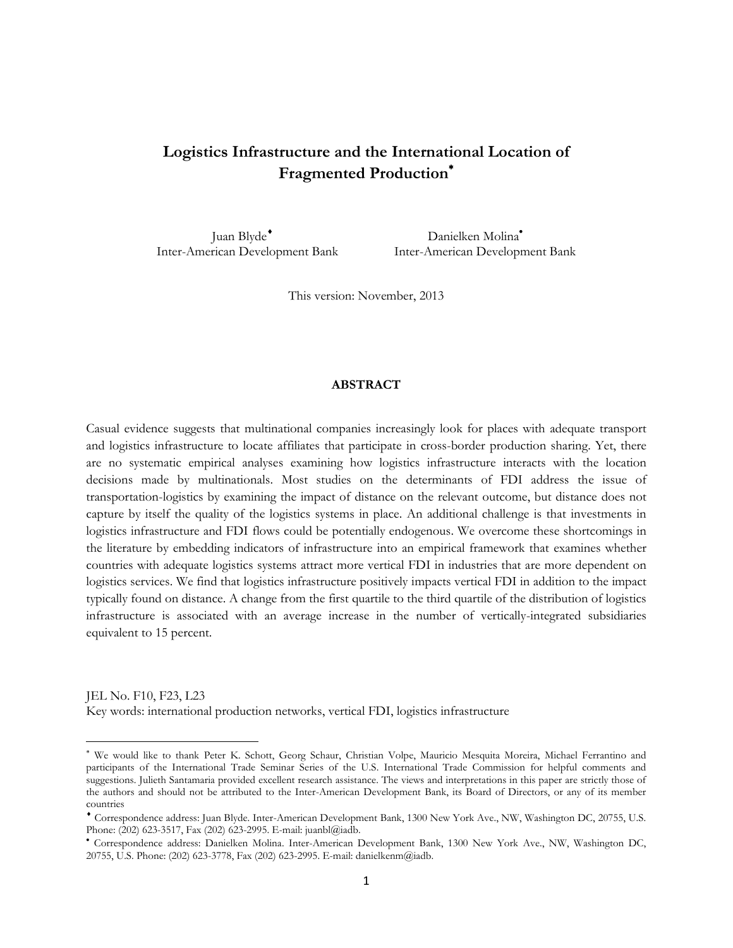# **Logistics Infrastructure and the International Location of Fragmented Production**

 Juan Blyde Inter-American Development Bank Inter-American Development Bank

Danielken Molina

This version: November, 2013

## **ABSTRACT**

Casual evidence suggests that multinational companies increasingly look for places with adequate transport and logistics infrastructure to locate affiliates that participate in cross-border production sharing. Yet, there are no systematic empirical analyses examining how logistics infrastructure interacts with the location decisions made by multinationals. Most studies on the determinants of FDI address the issue of transportation-logistics by examining the impact of distance on the relevant outcome, but distance does not capture by itself the quality of the logistics systems in place. An additional challenge is that investments in logistics infrastructure and FDI flows could be potentially endogenous. We overcome these shortcomings in the literature by embedding indicators of infrastructure into an empirical framework that examines whether countries with adequate logistics systems attract more vertical FDI in industries that are more dependent on logistics services. We find that logistics infrastructure positively impacts vertical FDI in addition to the impact typically found on distance. A change from the first quartile to the third quartile of the distribution of logistics infrastructure is associated with an average increase in the number of vertically-integrated subsidiaries equivalent to 15 percent.

JEL No. F10, F23, L23 Key words: international production networks, vertical FDI, logistics infrastructure

 $\overline{\phantom{a}}$ 

We would like to thank Peter K. Schott, Georg Schaur, Christian Volpe, Mauricio Mesquita Moreira, Michael Ferrantino and participants of the International Trade Seminar Series of the U.S. International Trade Commission for helpful comments and suggestions. Julieth Santamaria provided excellent research assistance. The views and interpretations in this paper are strictly those of the authors and should not be attributed to the Inter-American Development Bank, its Board of Directors, or any of its member countries

Correspondence address: Juan Blyde. Inter-American Development Bank, 1300 New York Ave., NW, Washington DC, 20755, U.S. Phone: (202) 623-3517, Fax (202) 623-2995. E-mail: juanbl@iadb.

Correspondence address: Danielken Molina. Inter-American Development Bank, 1300 New York Ave., NW, Washington DC, 20755, U.S. Phone: (202) 623-3778, Fax (202) 623-2995. E-mail: danielkenm@iadb.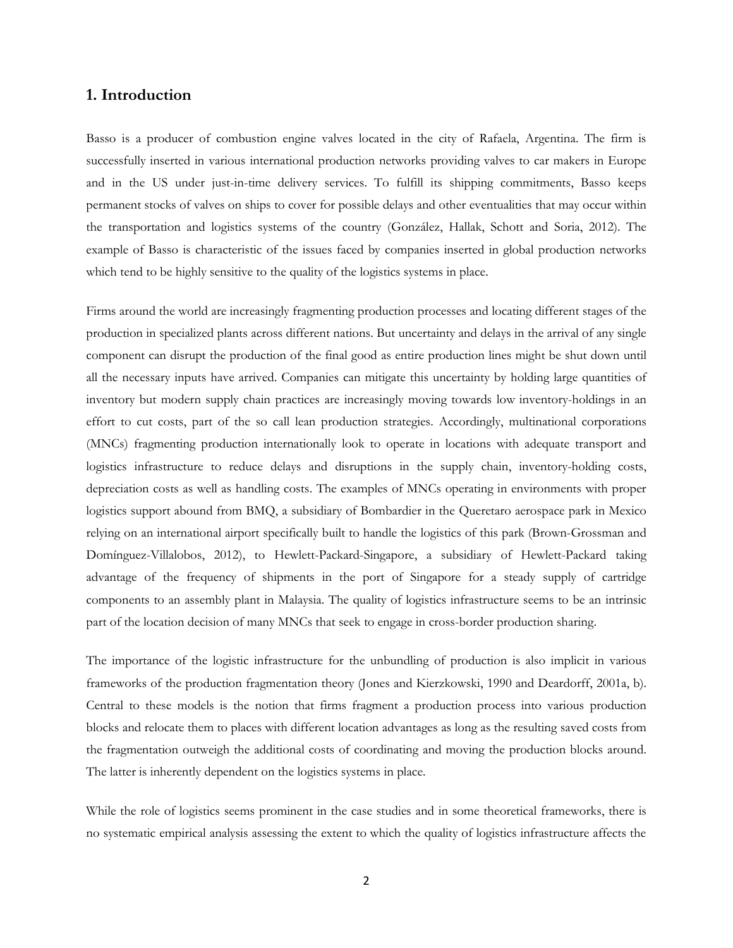### **1. Introduction**

Basso is a producer of combustion engine valves located in the city of Rafaela, Argentina. The firm is successfully inserted in various international production networks providing valves to car makers in Europe and in the US under just-in-time delivery services. To fulfill its shipping commitments, Basso keeps permanent stocks of valves on ships to cover for possible delays and other eventualities that may occur within the transportation and logistics systems of the country (González, Hallak, Schott and Soria, 2012). The example of Basso is characteristic of the issues faced by companies inserted in global production networks which tend to be highly sensitive to the quality of the logistics systems in place.

Firms around the world are increasingly fragmenting production processes and locating different stages of the production in specialized plants across different nations. But uncertainty and delays in the arrival of any single component can disrupt the production of the final good as entire production lines might be shut down until all the necessary inputs have arrived. Companies can mitigate this uncertainty by holding large quantities of inventory but modern supply chain practices are increasingly moving towards low inventory-holdings in an effort to cut costs, part of the so call lean production strategies. Accordingly, multinational corporations (MNCs) fragmenting production internationally look to operate in locations with adequate transport and logistics infrastructure to reduce delays and disruptions in the supply chain, inventory-holding costs, depreciation costs as well as handling costs. The examples of MNCs operating in environments with proper logistics support abound from BMQ, a subsidiary of Bombardier in the Queretaro aerospace park in Mexico relying on an international airport specifically built to handle the logistics of this park (Brown-Grossman and Domínguez-Villalobos, 2012), to Hewlett-Packard-Singapore, a subsidiary of Hewlett-Packard taking advantage of the frequency of shipments in the port of Singapore for a steady supply of cartridge components to an assembly plant in Malaysia. The quality of logistics infrastructure seems to be an intrinsic part of the location decision of many MNCs that seek to engage in cross-border production sharing.

The importance of the logistic infrastructure for the unbundling of production is also implicit in various frameworks of the production fragmentation theory (Jones and Kierzkowski, 1990 and Deardorff, 2001a, b). Central to these models is the notion that firms fragment a production process into various production blocks and relocate them to places with different location advantages as long as the resulting saved costs from the fragmentation outweigh the additional costs of coordinating and moving the production blocks around. The latter is inherently dependent on the logistics systems in place.

While the role of logistics seems prominent in the case studies and in some theoretical frameworks, there is no systematic empirical analysis assessing the extent to which the quality of logistics infrastructure affects the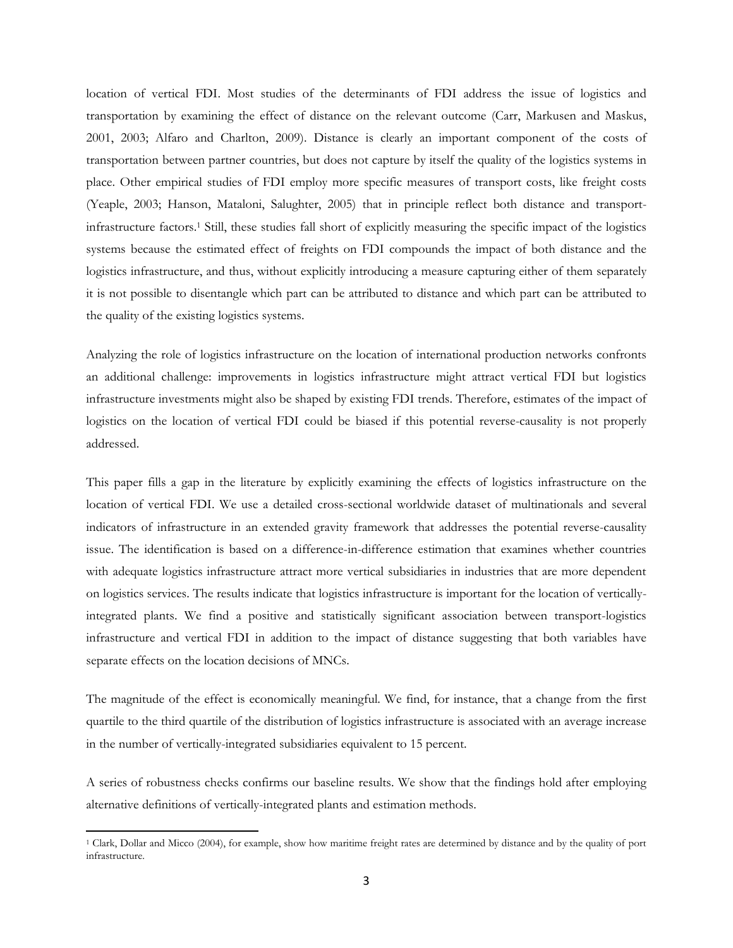location of vertical FDI. Most studies of the determinants of FDI address the issue of logistics and transportation by examining the effect of distance on the relevant outcome (Carr, Markusen and Maskus, 2001, 2003; Alfaro and Charlton, 2009). Distance is clearly an important component of the costs of transportation between partner countries, but does not capture by itself the quality of the logistics systems in place. Other empirical studies of FDI employ more specific measures of transport costs, like freight costs (Yeaple, 2003; Hanson, Mataloni, Salughter, 2005) that in principle reflect both distance and transportinfrastructure factors. <sup>1</sup> Still, these studies fall short of explicitly measuring the specific impact of the logistics systems because the estimated effect of freights on FDI compounds the impact of both distance and the logistics infrastructure, and thus, without explicitly introducing a measure capturing either of them separately it is not possible to disentangle which part can be attributed to distance and which part can be attributed to the quality of the existing logistics systems.

Analyzing the role of logistics infrastructure on the location of international production networks confronts an additional challenge: improvements in logistics infrastructure might attract vertical FDI but logistics infrastructure investments might also be shaped by existing FDI trends. Therefore, estimates of the impact of logistics on the location of vertical FDI could be biased if this potential reverse-causality is not properly addressed.

This paper fills a gap in the literature by explicitly examining the effects of logistics infrastructure on the location of vertical FDI. We use a detailed cross-sectional worldwide dataset of multinationals and several indicators of infrastructure in an extended gravity framework that addresses the potential reverse-causality issue. The identification is based on a difference-in-difference estimation that examines whether countries with adequate logistics infrastructure attract more vertical subsidiaries in industries that are more dependent on logistics services. The results indicate that logistics infrastructure is important for the location of verticallyintegrated plants. We find a positive and statistically significant association between transport-logistics infrastructure and vertical FDI in addition to the impact of distance suggesting that both variables have separate effects on the location decisions of MNCs.

The magnitude of the effect is economically meaningful. We find, for instance, that a change from the first quartile to the third quartile of the distribution of logistics infrastructure is associated with an average increase in the number of vertically-integrated subsidiaries equivalent to 15 percent.

A series of robustness checks confirms our baseline results. We show that the findings hold after employing alternative definitions of vertically-integrated plants and estimation methods.

 $\overline{a}$ 

<sup>1</sup> Clark, Dollar and Micco (2004), for example, show how maritime freight rates are determined by distance and by the quality of port infrastructure.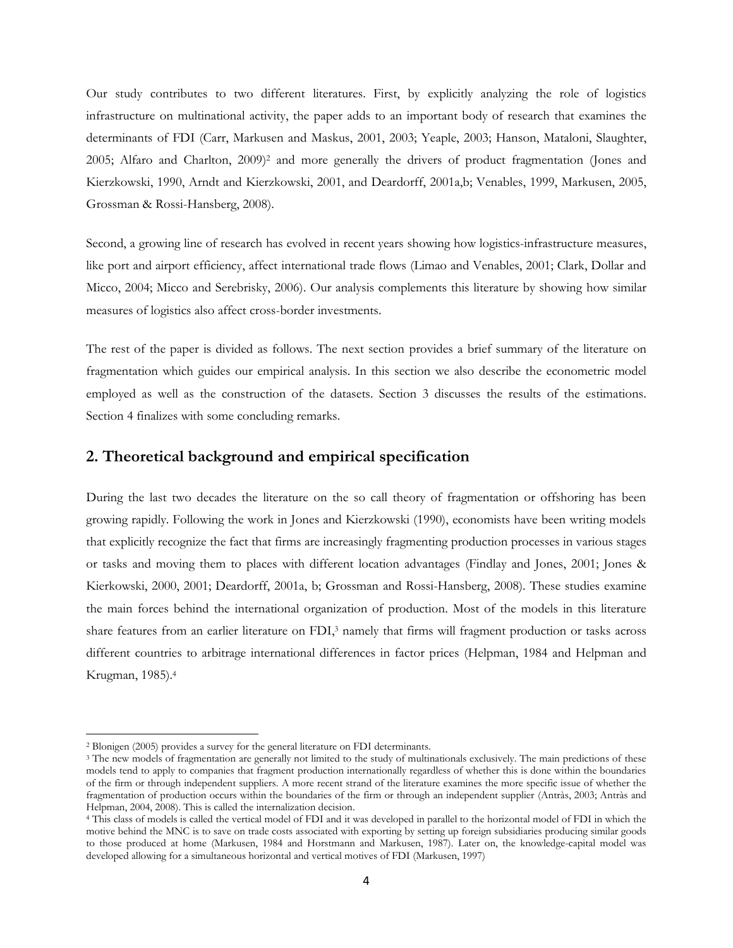Our study contributes to two different literatures. First, by explicitly analyzing the role of logistics infrastructure on multinational activity, the paper adds to an important body of research that examines the determinants of FDI (Carr, Markusen and Maskus, 2001, 2003; Yeaple, 2003; Hanson, Mataloni, Slaughter, 2005; Alfaro and Charlton, 2009) <sup>2</sup> and more generally the drivers of product fragmentation (Jones and Kierzkowski, 1990, Arndt and Kierzkowski, 2001, and Deardorff, 2001a,b; Venables, 1999, Markusen, 2005, Grossman & Rossi-Hansberg, 2008).

Second, a growing line of research has evolved in recent years showing how logistics-infrastructure measures, like port and airport efficiency, affect international trade flows (Limao and Venables, 2001; Clark, Dollar and Micco, 2004; Micco and Serebrisky, 2006). Our analysis complements this literature by showing how similar measures of logistics also affect cross-border investments.

The rest of the paper is divided as follows. The next section provides a brief summary of the literature on fragmentation which guides our empirical analysis. In this section we also describe the econometric model employed as well as the construction of the datasets. Section 3 discusses the results of the estimations. Section 4 finalizes with some concluding remarks.

## **2. Theoretical background and empirical specification**

During the last two decades the literature on the so call theory of fragmentation or offshoring has been growing rapidly. Following the work in Jones and Kierzkowski (1990), economists have been writing models that explicitly recognize the fact that firms are increasingly fragmenting production processes in various stages or tasks and moving them to places with different location advantages (Findlay and Jones, 2001; Jones & Kierkowski, 2000, 2001; Deardorff, 2001a, b; Grossman and Rossi-Hansberg, 2008). These studies examine the main forces behind the international organization of production. Most of the models in this literature share features from an earlier literature on FDI, <sup>3</sup> namely that firms will fragment production or tasks across different countries to arbitrage international differences in factor prices (Helpman, 1984 and Helpman and Krugman, 1985). 4

 $\overline{a}$ 

<sup>2</sup> Blonigen (2005) provides a survey for the general literature on FDI determinants.

<sup>&</sup>lt;sup>3</sup> The new models of fragmentation are generally not limited to the study of multinationals exclusively. The main predictions of these models tend to apply to companies that fragment production internationally regardless of whether this is done within the boundaries of the firm or through independent suppliers. A more recent strand of the literature examines the more specific issue of whether the fragmentation of production occurs within the boundaries of the firm or through an independent supplier (Antràs, 2003; Antràs and Helpman, 2004, 2008). This is called the internalization decision.

<sup>4</sup> This class of models is called the vertical model of FDI and it was developed in parallel to the horizontal model of FDI in which the motive behind the MNC is to save on trade costs associated with exporting by setting up foreign subsidiaries producing similar goods to those produced at home (Markusen, 1984 and Horstmann and Markusen, 1987). Later on, the knowledge-capital model was developed allowing for a simultaneous horizontal and vertical motives of FDI (Markusen, 1997)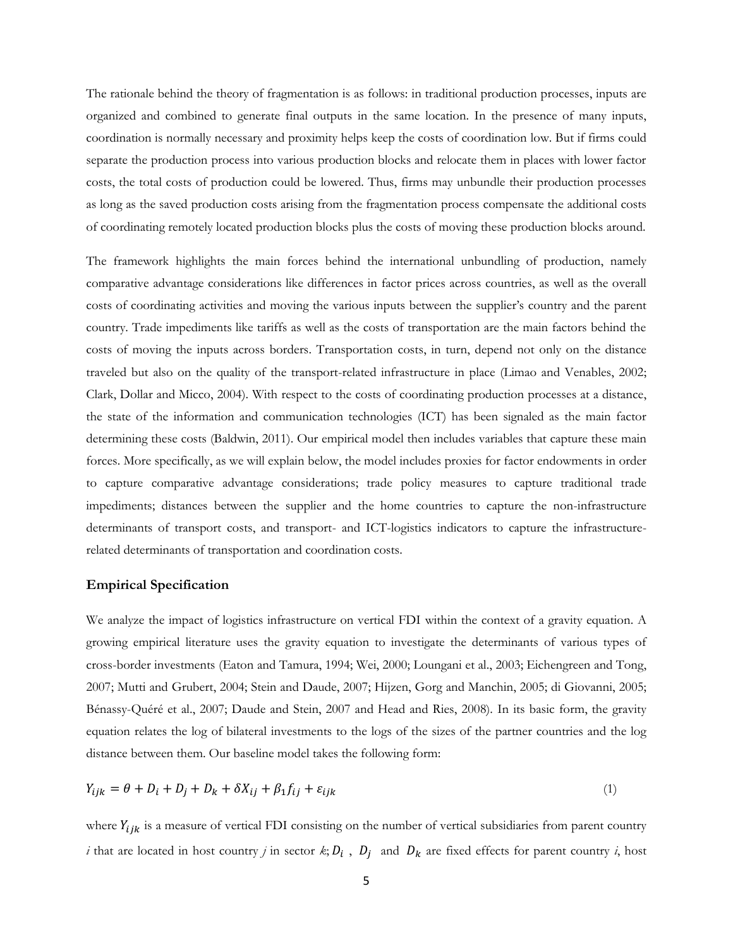The rationale behind the theory of fragmentation is as follows: in traditional production processes, inputs are organized and combined to generate final outputs in the same location. In the presence of many inputs, coordination is normally necessary and proximity helps keep the costs of coordination low. But if firms could separate the production process into various production blocks and relocate them in places with lower factor costs, the total costs of production could be lowered. Thus, firms may unbundle their production processes as long as the saved production costs arising from the fragmentation process compensate the additional costs of coordinating remotely located production blocks plus the costs of moving these production blocks around.

The framework highlights the main forces behind the international unbundling of production, namely comparative advantage considerations like differences in factor prices across countries, as well as the overall costs of coordinating activities and moving the various inputs between the supplier's country and the parent country. Trade impediments like tariffs as well as the costs of transportation are the main factors behind the costs of moving the inputs across borders. Transportation costs, in turn, depend not only on the distance traveled but also on the quality of the transport-related infrastructure in place (Limao and Venables, 2002; Clark, Dollar and Micco, 2004). With respect to the costs of coordinating production processes at a distance, the state of the information and communication technologies (ICT) has been signaled as the main factor determining these costs (Baldwin, 2011). Our empirical model then includes variables that capture these main forces. More specifically, as we will explain below, the model includes proxies for factor endowments in order to capture comparative advantage considerations; trade policy measures to capture traditional trade impediments; distances between the supplier and the home countries to capture the non-infrastructure determinants of transport costs, and transport- and ICT-logistics indicators to capture the infrastructurerelated determinants of transportation and coordination costs.

#### **Empirical Specification**

We analyze the impact of logistics infrastructure on vertical FDI within the context of a gravity equation. A growing empirical literature uses the gravity equation to investigate the determinants of various types of cross-border investments (Eaton and Tamura, 1994; Wei, 2000; Loungani et al., 2003; Eichengreen and Tong, 2007; Mutti and Grubert, 2004; Stein and Daude, 2007; Hijzen, Gorg and Manchin, 2005; di Giovanni, 2005; Bénassy-Quéré et al., 2007; Daude and Stein, 2007 and Head and Ries, 2008). In its basic form, the gravity equation relates the log of bilateral investments to the logs of the sizes of the partner countries and the log distance between them. Our baseline model takes the following form:

$$
Y_{ijk} = \theta + D_i + D_j + D_k + \delta X_{ij} + \beta_1 f_{ij} + \varepsilon_{ijk}
$$
\n<sup>(1)</sup>

where  $Y_{ijk}$  is a measure of vertical FDI consisting on the number of vertical subsidiaries from parent country *i* that are located in host country *j* in sector  $k$ ;  $D_i$ ,  $D_j$  and  $D_k$  are fixed effects for parent country *i*, host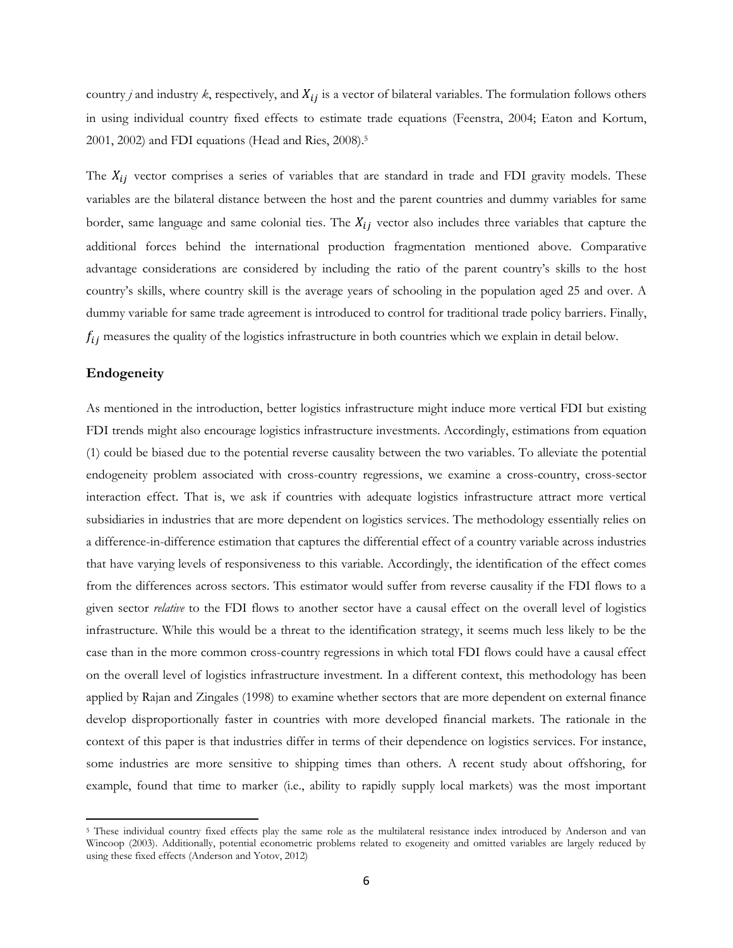country *j* and industry  $k$ , respectively, and  $X_{ij}$  is a vector of bilateral variables. The formulation follows others in using individual country fixed effects to estimate trade equations (Feenstra, 2004; Eaton and Kortum, 2001, 2002) and FDI equations (Head and Ries, 2008). 5

The  $X_{ij}$  vector comprises a series of variables that are standard in trade and FDI gravity models. These variables are the bilateral distance between the host and the parent countries and dummy variables for same border, same language and same colonial ties. The  $X_{ij}$  vector also includes three variables that capture the additional forces behind the international production fragmentation mentioned above. Comparative advantage considerations are considered by including the ratio of the parent country's skills to the host country's skills, where country skill is the average years of schooling in the population aged 25 and over. A dummy variable for same trade agreement is introduced to control for traditional trade policy barriers. Finally,  $f_{ij}$  measures the quality of the logistics infrastructure in both countries which we explain in detail below.

#### **Endogeneity**

l

As mentioned in the introduction, better logistics infrastructure might induce more vertical FDI but existing FDI trends might also encourage logistics infrastructure investments. Accordingly, estimations from equation (1) could be biased due to the potential reverse causality between the two variables. To alleviate the potential endogeneity problem associated with cross-country regressions, we examine a cross-country, cross-sector interaction effect. That is, we ask if countries with adequate logistics infrastructure attract more vertical subsidiaries in industries that are more dependent on logistics services. The methodology essentially relies on a difference-in-difference estimation that captures the differential effect of a country variable across industries that have varying levels of responsiveness to this variable. Accordingly, the identification of the effect comes from the differences across sectors. This estimator would suffer from reverse causality if the FDI flows to a given sector *relative* to the FDI flows to another sector have a causal effect on the overall level of logistics infrastructure. While this would be a threat to the identification strategy, it seems much less likely to be the case than in the more common cross-country regressions in which total FDI flows could have a causal effect on the overall level of logistics infrastructure investment. In a different context, this methodology has been applied by Rajan and Zingales (1998) to examine whether sectors that are more dependent on external finance develop disproportionally faster in countries with more developed financial markets. The rationale in the context of this paper is that industries differ in terms of their dependence on logistics services. For instance, some industries are more sensitive to shipping times than others. A recent study about offshoring, for example, found that time to marker (i.e., ability to rapidly supply local markets) was the most important

<sup>&</sup>lt;sup>5</sup> These individual country fixed effects play the same role as the multilateral resistance index introduced by Anderson and van Wincoop (2003). Additionally, potential econometric problems related to exogeneity and omitted variables are largely reduced by using these fixed effects (Anderson and Yotov, 2012)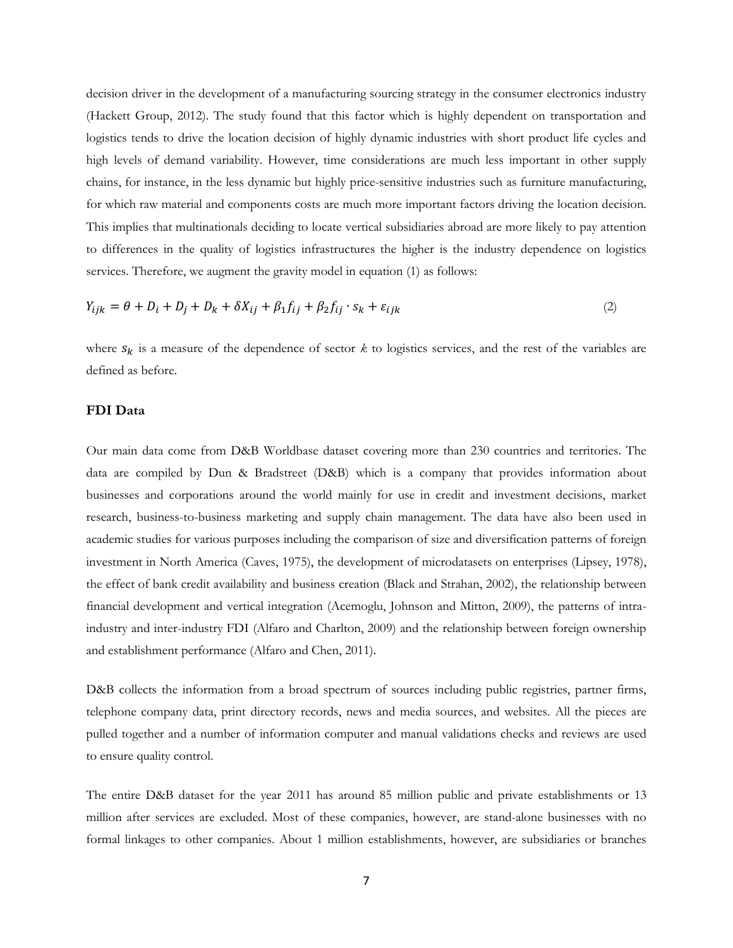decision driver in the development of a manufacturing sourcing strategy in the consumer electronics industry (Hackett Group, 2012). The study found that this factor which is highly dependent on transportation and logistics tends to drive the location decision of highly dynamic industries with short product life cycles and high levels of demand variability. However, time considerations are much less important in other supply chains, for instance, in the less dynamic but highly price-sensitive industries such as furniture manufacturing, for which raw material and components costs are much more important factors driving the location decision. This implies that multinationals deciding to locate vertical subsidiaries abroad are more likely to pay attention to differences in the quality of logistics infrastructures the higher is the industry dependence on logistics services. Therefore, we augment the gravity model in equation (1) as follows:

$$
Y_{ijk} = \theta + D_i + D_j + D_k + \delta X_{ij} + \beta_1 f_{ij} + \beta_2 f_{ij} \cdot s_k + \varepsilon_{ijk}
$$
\n<sup>(2)</sup>

where  $s_k$  is a measure of the dependence of sector  $k$  to logistics services, and the rest of the variables are defined as before.

#### **FDI Data**

Our main data come from D&B Worldbase dataset covering more than 230 countries and territories. The data are compiled by Dun & Bradstreet (D&B) which is a company that provides information about businesses and corporations around the world mainly for use in credit and investment decisions, market research, business-to-business marketing and supply chain management. The data have also been used in academic studies for various purposes including the comparison of size and diversification patterns of foreign investment in North America (Caves, 1975), the development of microdatasets on enterprises (Lipsey, 1978), the effect of bank credit availability and business creation (Black and Strahan, 2002), the relationship between financial development and vertical integration (Acemoglu, Johnson and Mitton, 2009), the patterns of intraindustry and inter-industry FDI (Alfaro and Charlton, 2009) and the relationship between foreign ownership and establishment performance (Alfaro and Chen, 2011).

D&B collects the information from a broad spectrum of sources including public registries, partner firms, telephone company data, print directory records, news and media sources, and websites. All the pieces are pulled together and a number of information computer and manual validations checks and reviews are used to ensure quality control.

The entire D&B dataset for the year 2011 has around 85 million public and private establishments or 13 million after services are excluded. Most of these companies, however, are stand-alone businesses with no formal linkages to other companies. About 1 million establishments, however, are subsidiaries or branches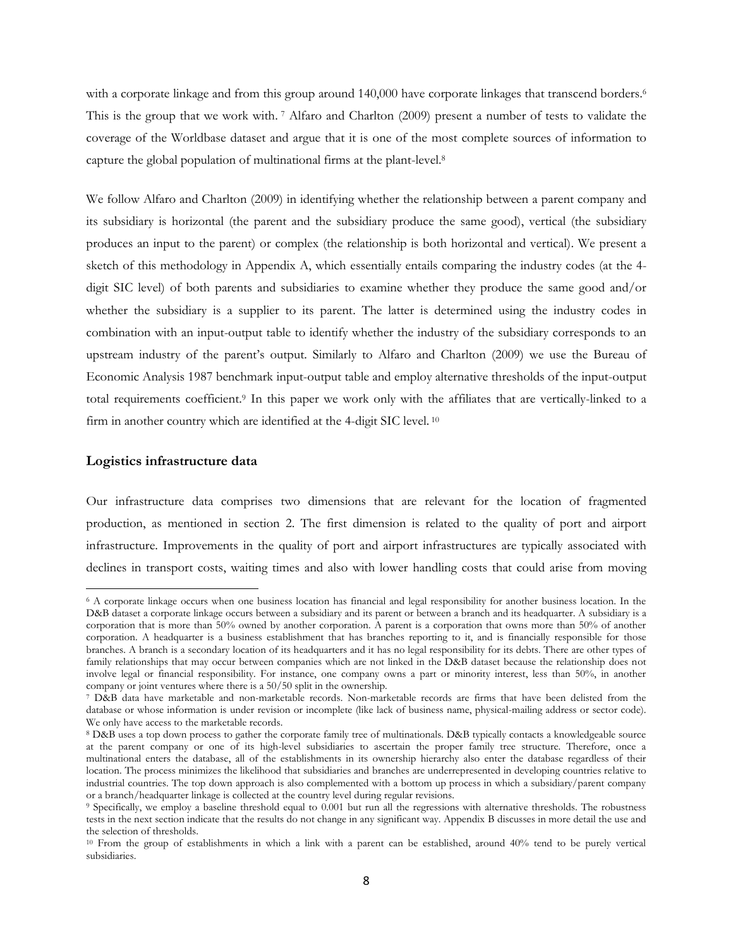with a corporate linkage and from this group around 140,000 have corporate linkages that transcend borders.<sup>6</sup> This is the group that we work with. <sup>7</sup> Alfaro and Charlton (2009) present a number of tests to validate the coverage of the Worldbase dataset and argue that it is one of the most complete sources of information to capture the global population of multinational firms at the plant-level. 8

We follow Alfaro and Charlton (2009) in identifying whether the relationship between a parent company and its subsidiary is horizontal (the parent and the subsidiary produce the same good), vertical (the subsidiary produces an input to the parent) or complex (the relationship is both horizontal and vertical). We present a sketch of this methodology in Appendix A, which essentially entails comparing the industry codes (at the 4 digit SIC level) of both parents and subsidiaries to examine whether they produce the same good and/or whether the subsidiary is a supplier to its parent. The latter is determined using the industry codes in combination with an input-output table to identify whether the industry of the subsidiary corresponds to an upstream industry of the parent's output. Similarly to Alfaro and Charlton (2009) we use the Bureau of Economic Analysis 1987 benchmark input-output table and employ alternative thresholds of the input-output total requirements coefficient. <sup>9</sup> In this paper we work only with the affiliates that are vertically-linked to a firm in another country which are identified at the 4-digit SIC level.<sup>10</sup>

#### **Logistics infrastructure data**

l

Our infrastructure data comprises two dimensions that are relevant for the location of fragmented production, as mentioned in section 2. The first dimension is related to the quality of port and airport infrastructure. Improvements in the quality of port and airport infrastructures are typically associated with declines in transport costs, waiting times and also with lower handling costs that could arise from moving

<sup>&</sup>lt;sup>6</sup> A corporate linkage occurs when one business location has financial and legal responsibility for another business location. In the D&B dataset a corporate linkage occurs between a subsidiary and its parent or between a branch and its headquarter. A subsidiary is a corporation that is more than 50% owned by another corporation. A parent is a corporation that owns more than 50% of another corporation. A headquarter is a business establishment that has branches reporting to it, and is financially responsible for those branches. A branch is a secondary location of its headquarters and it has no legal responsibility for its debts. There are other types of family relationships that may occur between companies which are not linked in the D&B dataset because the relationship does not involve legal or financial responsibility. For instance, one company owns a part or minority interest, less than 50%, in another company or joint ventures where there is a 50/50 split in the ownership.

<sup>7</sup> D&B data have marketable and non-marketable records. Non-marketable records are firms that have been delisted from the database or whose information is under revision or incomplete (like lack of business name, physical-mailing address or sector code). We only have access to the marketable records.

<sup>8</sup> D&B uses a top down process to gather the corporate family tree of multinationals. D&B typically contacts a knowledgeable source at the parent company or one of its high-level subsidiaries to ascertain the proper family tree structure. Therefore, once a multinational enters the database, all of the establishments in its ownership hierarchy also enter the database regardless of their location. The process minimizes the likelihood that subsidiaries and branches are underrepresented in developing countries relative to industrial countries. The top down approach is also complemented with a bottom up process in which a subsidiary/parent company or a branch/headquarter linkage is collected at the country level during regular revisions.

<sup>9</sup> Specifically, we employ a baseline threshold equal to 0.001 but run all the regressions with alternative thresholds. The robustness tests in the next section indicate that the results do not change in any significant way. Appendix B discusses in more detail the use and the selection of thresholds.

<sup>&</sup>lt;sup>10</sup> From the group of establishments in which a link with a parent can be established, around 40% tend to be purely vertical subsidiaries.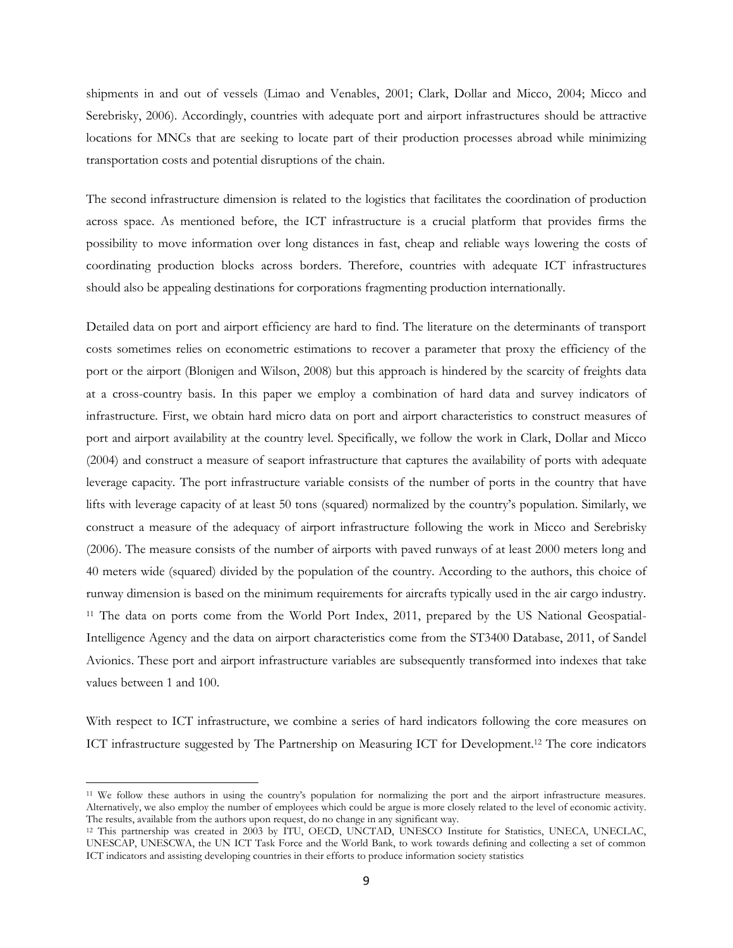shipments in and out of vessels (Limao and Venables, 2001; Clark, Dollar and Micco, 2004; Micco and Serebrisky, 2006). Accordingly, countries with adequate port and airport infrastructures should be attractive locations for MNCs that are seeking to locate part of their production processes abroad while minimizing transportation costs and potential disruptions of the chain.

The second infrastructure dimension is related to the logistics that facilitates the coordination of production across space. As mentioned before, the ICT infrastructure is a crucial platform that provides firms the possibility to move information over long distances in fast, cheap and reliable ways lowering the costs of coordinating production blocks across borders. Therefore, countries with adequate ICT infrastructures should also be appealing destinations for corporations fragmenting production internationally.

Detailed data on port and airport efficiency are hard to find. The literature on the determinants of transport costs sometimes relies on econometric estimations to recover a parameter that proxy the efficiency of the port or the airport (Blonigen and Wilson, 2008) but this approach is hindered by the scarcity of freights data at a cross-country basis. In this paper we employ a combination of hard data and survey indicators of infrastructure. First, we obtain hard micro data on port and airport characteristics to construct measures of port and airport availability at the country level. Specifically, we follow the work in Clark, Dollar and Micco (2004) and construct a measure of seaport infrastructure that captures the availability of ports with adequate leverage capacity. The port infrastructure variable consists of the number of ports in the country that have lifts with leverage capacity of at least 50 tons (squared) normalized by the country's population. Similarly, we construct a measure of the adequacy of airport infrastructure following the work in Micco and Serebrisky (2006). The measure consists of the number of airports with paved runways of at least 2000 meters long and 40 meters wide (squared) divided by the population of the country. According to the authors, this choice of runway dimension is based on the minimum requirements for aircrafts typically used in the air cargo industry. <sup>11</sup> The data on ports come from the World Port Index, 2011, prepared by the US National Geospatial-Intelligence Agency and the data on airport characteristics come from the ST3400 Database, 2011, of Sandel Avionics. These port and airport infrastructure variables are subsequently transformed into indexes that take values between 1 and 100.

With respect to ICT infrastructure, we combine a series of hard indicators following the core measures on ICT infrastructure suggested by The Partnership on Measuring ICT for Development. <sup>12</sup> The core indicators

l

<sup>11</sup> We follow these authors in using the country's population for normalizing the port and the airport infrastructure measures. Alternatively, we also employ the number of employees which could be argue is more closely related to the level of economic activity. The results, available from the authors upon request, do no change in any significant way.

<sup>12</sup> This partnership was created in 2003 by ITU, OECD, UNCTAD, UNESCO Institute for Statistics, UNECA, UNECLAC, UNESCAP, UNESCWA, the UN ICT Task Force and the World Bank, to work towards defining and collecting a set of common ICT indicators and assisting developing countries in their efforts to produce information society statistics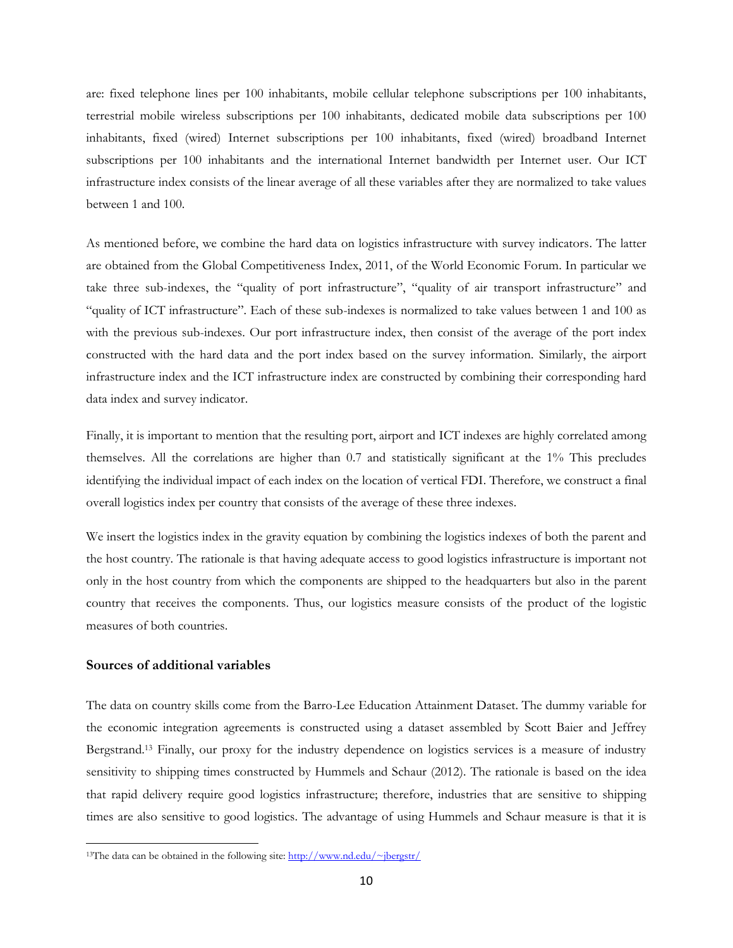are: fixed telephone lines per 100 inhabitants, mobile cellular telephone subscriptions per 100 inhabitants, terrestrial mobile wireless subscriptions per 100 inhabitants, dedicated mobile data subscriptions per 100 inhabitants, fixed (wired) Internet subscriptions per 100 inhabitants, fixed (wired) broadband Internet subscriptions per 100 inhabitants and the international Internet bandwidth per Internet user. Our ICT infrastructure index consists of the linear average of all these variables after they are normalized to take values between 1 and 100.

As mentioned before, we combine the hard data on logistics infrastructure with survey indicators. The latter are obtained from the Global Competitiveness Index, 2011, of the World Economic Forum. In particular we take three sub-indexes, the "quality of port infrastructure", "quality of air transport infrastructure" and "quality of ICT infrastructure". Each of these sub-indexes is normalized to take values between 1 and 100 as with the previous sub-indexes. Our port infrastructure index, then consist of the average of the port index constructed with the hard data and the port index based on the survey information. Similarly, the airport infrastructure index and the ICT infrastructure index are constructed by combining their corresponding hard data index and survey indicator.

Finally, it is important to mention that the resulting port, airport and ICT indexes are highly correlated among themselves. All the correlations are higher than 0.7 and statistically significant at the 1% This precludes identifying the individual impact of each index on the location of vertical FDI. Therefore, we construct a final overall logistics index per country that consists of the average of these three indexes.

We insert the logistics index in the gravity equation by combining the logistics indexes of both the parent and the host country. The rationale is that having adequate access to good logistics infrastructure is important not only in the host country from which the components are shipped to the headquarters but also in the parent country that receives the components. Thus, our logistics measure consists of the product of the logistic measures of both countries.

#### **Sources of additional variables**

l

The data on country skills come from the Barro-Lee Education Attainment Dataset. The dummy variable for the economic integration agreements is constructed using a dataset assembled by Scott Baier and Jeffrey Bergstrand.<sup>13</sup> Finally, our proxy for the industry dependence on logistics services is a measure of industry sensitivity to shipping times constructed by Hummels and Schaur (2012). The rationale is based on the idea that rapid delivery require good logistics infrastructure; therefore, industries that are sensitive to shipping times are also sensitive to good logistics. The advantage of using Hummels and Schaur measure is that it is

<sup>13</sup>The data can be obtained in the following site:<http://www.nd.edu/~jbergstr/>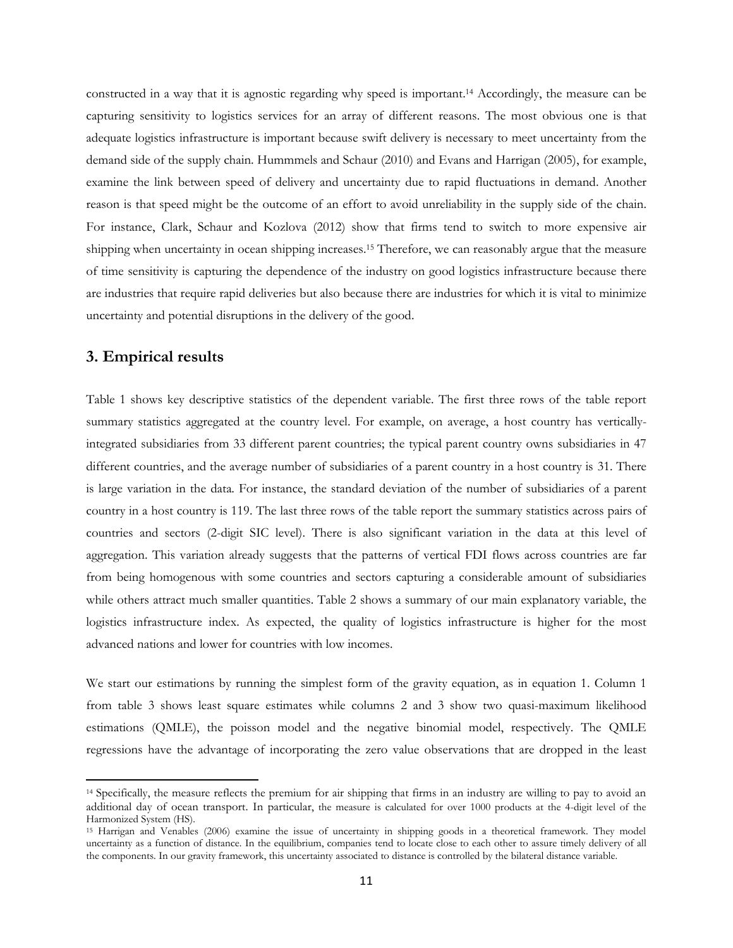constructed in a way that it is agnostic regarding why speed is important. <sup>14</sup> Accordingly, the measure can be capturing sensitivity to logistics services for an array of different reasons. The most obvious one is that adequate logistics infrastructure is important because swift delivery is necessary to meet uncertainty from the demand side of the supply chain. Hummmels and Schaur (2010) and Evans and Harrigan (2005), for example, examine the link between speed of delivery and uncertainty due to rapid fluctuations in demand. Another reason is that speed might be the outcome of an effort to avoid unreliability in the supply side of the chain. For instance, Clark, Schaur and Kozlova (2012) show that firms tend to switch to more expensive air shipping when uncertainty in ocean shipping increases. <sup>15</sup> Therefore, we can reasonably argue that the measure of time sensitivity is capturing the dependence of the industry on good logistics infrastructure because there are industries that require rapid deliveries but also because there are industries for which it is vital to minimize uncertainty and potential disruptions in the delivery of the good.

## **3. Empirical results**

l

Table 1 shows key descriptive statistics of the dependent variable. The first three rows of the table report summary statistics aggregated at the country level. For example, on average, a host country has verticallyintegrated subsidiaries from 33 different parent countries; the typical parent country owns subsidiaries in 47 different countries, and the average number of subsidiaries of a parent country in a host country is 31. There is large variation in the data. For instance, the standard deviation of the number of subsidiaries of a parent country in a host country is 119. The last three rows of the table report the summary statistics across pairs of countries and sectors (2-digit SIC level). There is also significant variation in the data at this level of aggregation. This variation already suggests that the patterns of vertical FDI flows across countries are far from being homogenous with some countries and sectors capturing a considerable amount of subsidiaries while others attract much smaller quantities. Table 2 shows a summary of our main explanatory variable, the logistics infrastructure index. As expected, the quality of logistics infrastructure is higher for the most advanced nations and lower for countries with low incomes.

We start our estimations by running the simplest form of the gravity equation, as in equation 1. Column 1 from table 3 shows least square estimates while columns 2 and 3 show two quasi-maximum likelihood estimations (QMLE), the poisson model and the negative binomial model, respectively. The QMLE regressions have the advantage of incorporating the zero value observations that are dropped in the least

<sup>14</sup> Specifically, the measure reflects the premium for air shipping that firms in an industry are willing to pay to avoid an additional day of ocean transport. In particular, the measure is calculated for over 1000 products at the 4-digit level of the Harmonized System (HS).

<sup>15</sup> Harrigan and Venables (2006) examine the issue of uncertainty in shipping goods in a theoretical framework. They model uncertainty as a function of distance. In the equilibrium, companies tend to locate close to each other to assure timely delivery of all the components. In our gravity framework, this uncertainty associated to distance is controlled by the bilateral distance variable.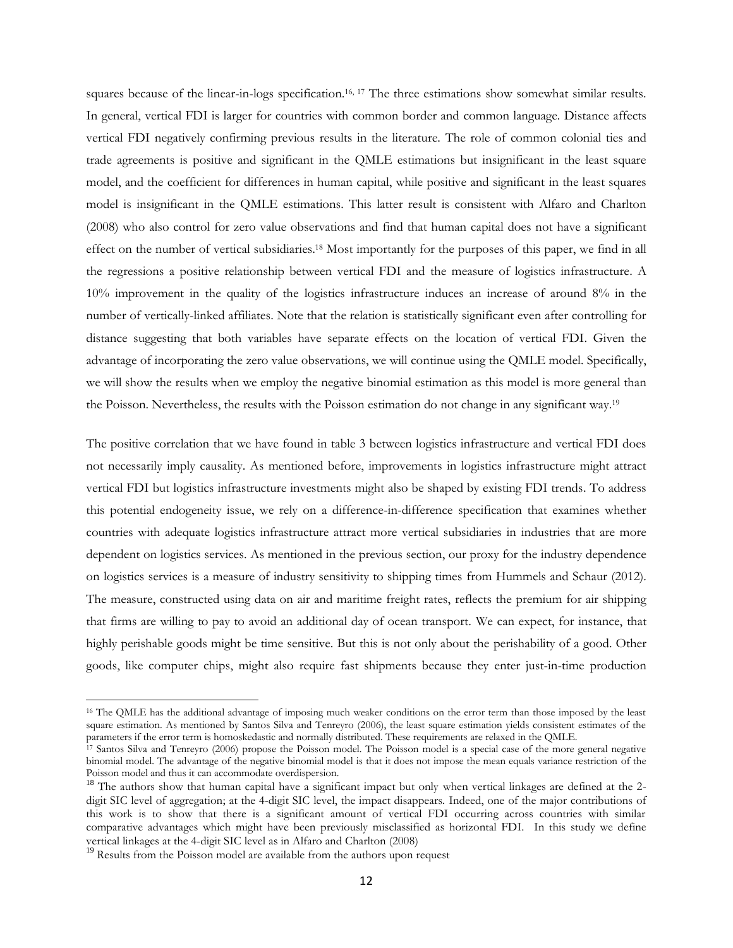squares because of the linear-in-logs specification.<sup>16, 17</sup> The three estimations show somewhat similar results. In general, vertical FDI is larger for countries with common border and common language. Distance affects vertical FDI negatively confirming previous results in the literature. The role of common colonial ties and trade agreements is positive and significant in the QMLE estimations but insignificant in the least square model, and the coefficient for differences in human capital, while positive and significant in the least squares model is insignificant in the QMLE estimations. This latter result is consistent with Alfaro and Charlton (2008) who also control for zero value observations and find that human capital does not have a significant effect on the number of vertical subsidiaries. <sup>18</sup> Most importantly for the purposes of this paper, we find in all the regressions a positive relationship between vertical FDI and the measure of logistics infrastructure. A 10% improvement in the quality of the logistics infrastructure induces an increase of around 8% in the number of vertically-linked affiliates. Note that the relation is statistically significant even after controlling for distance suggesting that both variables have separate effects on the location of vertical FDI. Given the advantage of incorporating the zero value observations, we will continue using the QMLE model. Specifically, we will show the results when we employ the negative binomial estimation as this model is more general than the Poisson. Nevertheless, the results with the Poisson estimation do not change in any significant way.<sup>19</sup>

The positive correlation that we have found in table 3 between logistics infrastructure and vertical FDI does not necessarily imply causality. As mentioned before, improvements in logistics infrastructure might attract vertical FDI but logistics infrastructure investments might also be shaped by existing FDI trends. To address this potential endogeneity issue, we rely on a difference-in-difference specification that examines whether countries with adequate logistics infrastructure attract more vertical subsidiaries in industries that are more dependent on logistics services. As mentioned in the previous section, our proxy for the industry dependence on logistics services is a measure of industry sensitivity to shipping times from Hummels and Schaur (2012). The measure, constructed using data on air and maritime freight rates, reflects the premium for air shipping that firms are willing to pay to avoid an additional day of ocean transport. We can expect, for instance, that highly perishable goods might be time sensitive. But this is not only about the perishability of a good. Other goods, like computer chips, might also require fast shipments because they enter just-in-time production

l

<sup>&</sup>lt;sup>16</sup> The QMLE has the additional advantage of imposing much weaker conditions on the error term than those imposed by the least square estimation. As mentioned by Santos Silva and Tenreyro (2006), the least square estimation yields consistent estimates of the parameters if the error term is homoskedastic and normally distributed. These requirements are relaxed in the QMLE.

<sup>&</sup>lt;sup>17</sup> Santos Silva and Tenreyro (2006) propose the Poisson model. The Poisson model is a special case of the more general negative binomial model. The advantage of the negative binomial model is that it does not impose the mean equals variance restriction of the Poisson model and thus it can accommodate overdispersion.

<sup>&</sup>lt;sup>18</sup> The authors show that human capital have a significant impact but only when vertical linkages are defined at the 2digit SIC level of aggregation; at the 4-digit SIC level, the impact disappears. Indeed, one of the major contributions of this work is to show that there is a significant amount of vertical FDI occurring across countries with similar comparative advantages which might have been previously misclassified as horizontal FDI. In this study we define vertical linkages at the 4-digit SIC level as in Alfaro and Charlton (2008)

<sup>&</sup>lt;sup>19</sup> Results from the Poisson model are available from the authors upon request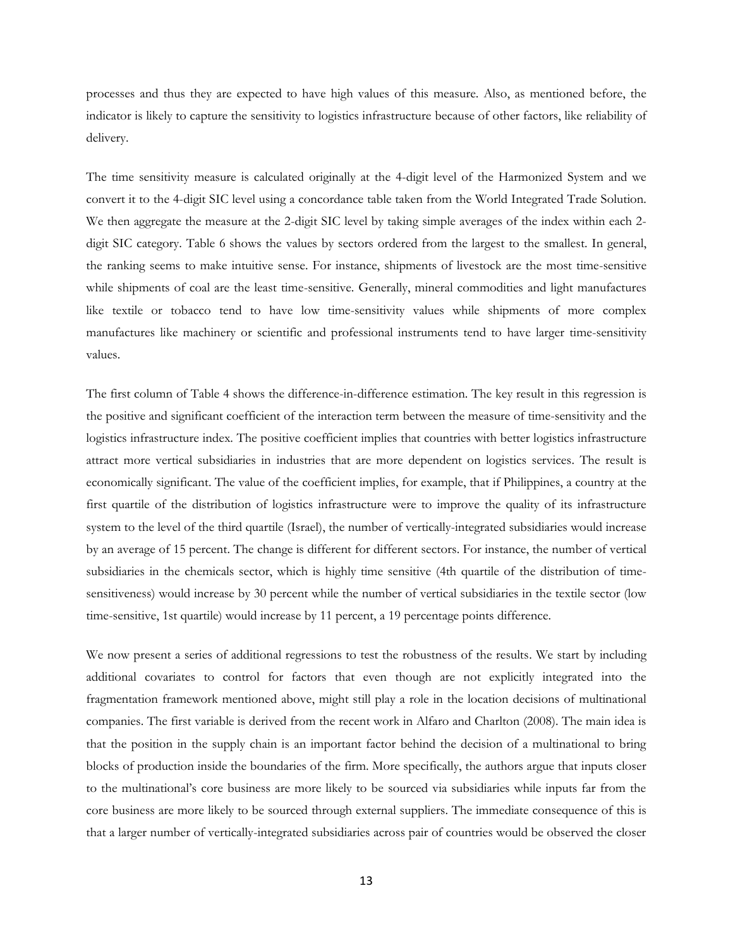processes and thus they are expected to have high values of this measure. Also, as mentioned before, the indicator is likely to capture the sensitivity to logistics infrastructure because of other factors, like reliability of delivery.

The time sensitivity measure is calculated originally at the 4-digit level of the Harmonized System and we convert it to the 4-digit SIC level using a concordance table taken from the World Integrated Trade Solution. We then aggregate the measure at the 2-digit SIC level by taking simple averages of the index within each 2 digit SIC category. Table 6 shows the values by sectors ordered from the largest to the smallest. In general, the ranking seems to make intuitive sense. For instance, shipments of livestock are the most time-sensitive while shipments of coal are the least time-sensitive. Generally, mineral commodities and light manufactures like textile or tobacco tend to have low time-sensitivity values while shipments of more complex manufactures like machinery or scientific and professional instruments tend to have larger time-sensitivity values.

The first column of Table 4 shows the difference-in-difference estimation. The key result in this regression is the positive and significant coefficient of the interaction term between the measure of time-sensitivity and the logistics infrastructure index. The positive coefficient implies that countries with better logistics infrastructure attract more vertical subsidiaries in industries that are more dependent on logistics services. The result is economically significant. The value of the coefficient implies, for example, that if Philippines, a country at the first quartile of the distribution of logistics infrastructure were to improve the quality of its infrastructure system to the level of the third quartile (Israel), the number of vertically-integrated subsidiaries would increase by an average of 15 percent. The change is different for different sectors. For instance, the number of vertical subsidiaries in the chemicals sector, which is highly time sensitive (4th quartile of the distribution of timesensitiveness) would increase by 30 percent while the number of vertical subsidiaries in the textile sector (low time-sensitive, 1st quartile) would increase by 11 percent, a 19 percentage points difference.

We now present a series of additional regressions to test the robustness of the results. We start by including additional covariates to control for factors that even though are not explicitly integrated into the fragmentation framework mentioned above, might still play a role in the location decisions of multinational companies. The first variable is derived from the recent work in Alfaro and Charlton (2008). The main idea is that the position in the supply chain is an important factor behind the decision of a multinational to bring blocks of production inside the boundaries of the firm. More specifically, the authors argue that inputs closer to the multinational's core business are more likely to be sourced via subsidiaries while inputs far from the core business are more likely to be sourced through external suppliers. The immediate consequence of this is that a larger number of vertically-integrated subsidiaries across pair of countries would be observed the closer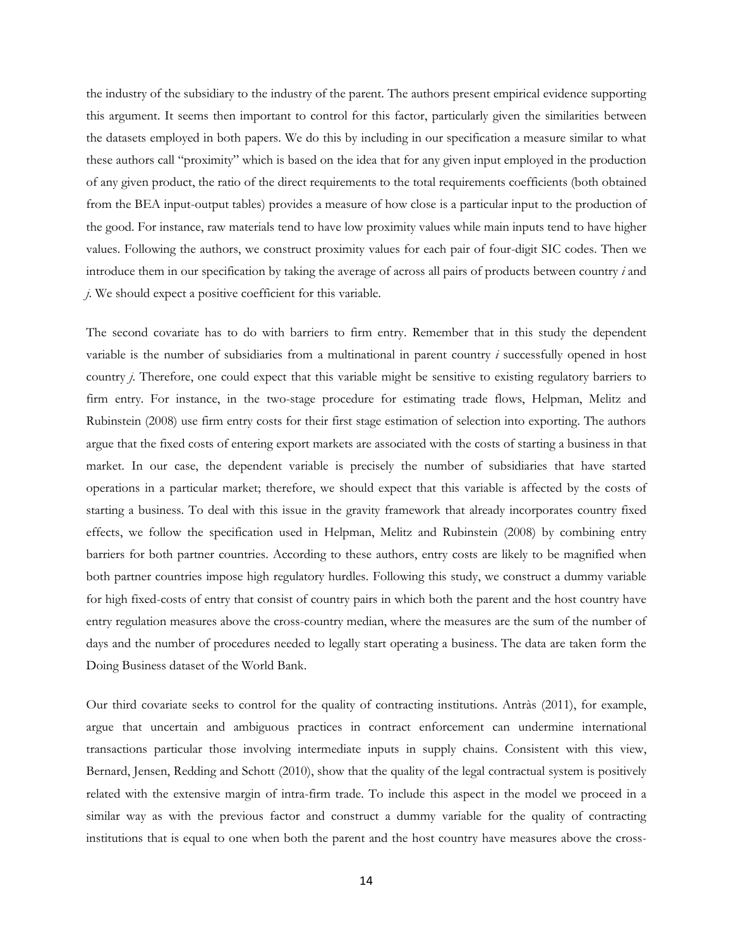the industry of the subsidiary to the industry of the parent. The authors present empirical evidence supporting this argument. It seems then important to control for this factor, particularly given the similarities between the datasets employed in both papers. We do this by including in our specification a measure similar to what these authors call "proximity" which is based on the idea that for any given input employed in the production of any given product, the ratio of the direct requirements to the total requirements coefficients (both obtained from the BEA input-output tables) provides a measure of how close is a particular input to the production of the good. For instance, raw materials tend to have low proximity values while main inputs tend to have higher values. Following the authors, we construct proximity values for each pair of four-digit SIC codes. Then we introduce them in our specification by taking the average of across all pairs of products between country *i* and *j*. We should expect a positive coefficient for this variable.

The second covariate has to do with barriers to firm entry. Remember that in this study the dependent variable is the number of subsidiaries from a multinational in parent country *i* successfully opened in host country *j*. Therefore, one could expect that this variable might be sensitive to existing regulatory barriers to firm entry. For instance, in the two-stage procedure for estimating trade flows, Helpman, Melitz and Rubinstein (2008) use firm entry costs for their first stage estimation of selection into exporting. The authors argue that the fixed costs of entering export markets are associated with the costs of starting a business in that market. In our case, the dependent variable is precisely the number of subsidiaries that have started operations in a particular market; therefore, we should expect that this variable is affected by the costs of starting a business. To deal with this issue in the gravity framework that already incorporates country fixed effects, we follow the specification used in Helpman, Melitz and Rubinstein (2008) by combining entry barriers for both partner countries. According to these authors, entry costs are likely to be magnified when both partner countries impose high regulatory hurdles. Following this study, we construct a dummy variable for high fixed-costs of entry that consist of country pairs in which both the parent and the host country have entry regulation measures above the cross-country median, where the measures are the sum of the number of days and the number of procedures needed to legally start operating a business. The data are taken form the Doing Business dataset of the World Bank.

Our third covariate seeks to control for the quality of contracting institutions. Antràs (2011), for example, argue that uncertain and ambiguous practices in contract enforcement can undermine international transactions particular those involving intermediate inputs in supply chains. Consistent with this view, Bernard, Jensen, Redding and Schott (2010), show that the quality of the legal contractual system is positively related with the extensive margin of intra-firm trade. To include this aspect in the model we proceed in a similar way as with the previous factor and construct a dummy variable for the quality of contracting institutions that is equal to one when both the parent and the host country have measures above the cross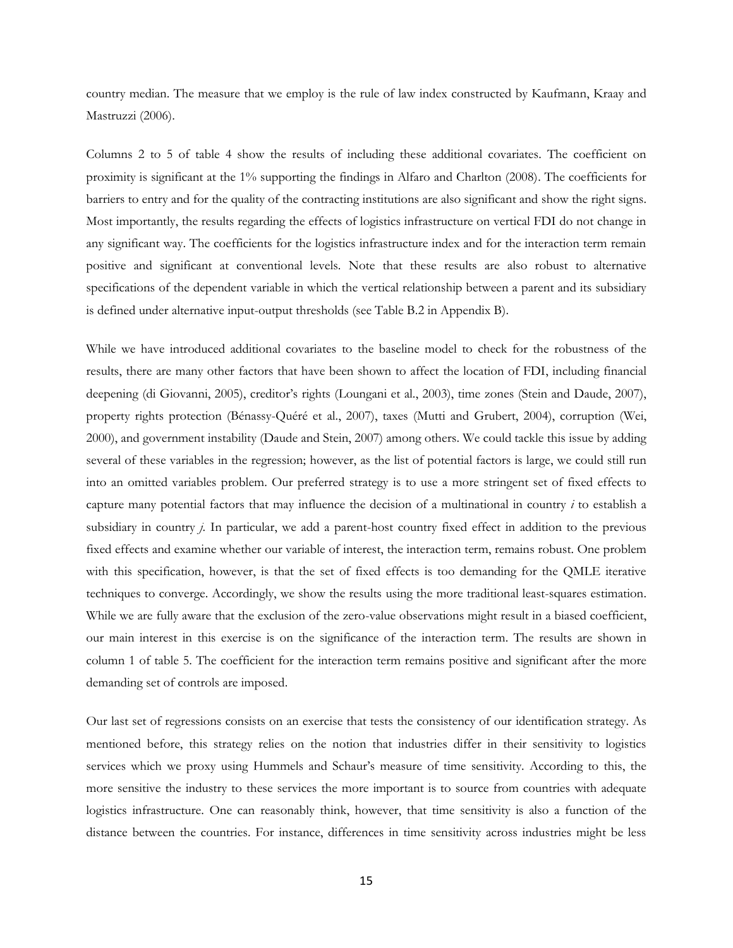country median. The measure that we employ is the rule of law index constructed by Kaufmann, Kraay and Mastruzzi (2006).

Columns 2 to 5 of table 4 show the results of including these additional covariates. The coefficient on proximity is significant at the 1% supporting the findings in Alfaro and Charlton (2008). The coefficients for barriers to entry and for the quality of the contracting institutions are also significant and show the right signs. Most importantly, the results regarding the effects of logistics infrastructure on vertical FDI do not change in any significant way. The coefficients for the logistics infrastructure index and for the interaction term remain positive and significant at conventional levels. Note that these results are also robust to alternative specifications of the dependent variable in which the vertical relationship between a parent and its subsidiary is defined under alternative input-output thresholds (see Table B.2 in Appendix B).

While we have introduced additional covariates to the baseline model to check for the robustness of the results, there are many other factors that have been shown to affect the location of FDI, including financial deepening (di Giovanni, 2005), creditor's rights (Loungani et al., 2003), time zones (Stein and Daude, 2007), property rights protection (Bénassy-Quéré et al., 2007), taxes (Mutti and Grubert, 2004), corruption (Wei, 2000), and government instability (Daude and Stein, 2007) among others. We could tackle this issue by adding several of these variables in the regression; however, as the list of potential factors is large, we could still run into an omitted variables problem. Our preferred strategy is to use a more stringent set of fixed effects to capture many potential factors that may influence the decision of a multinational in country *i* to establish a subsidiary in country *j*. In particular, we add a parent-host country fixed effect in addition to the previous fixed effects and examine whether our variable of interest, the interaction term, remains robust. One problem with this specification, however, is that the set of fixed effects is too demanding for the QMLE iterative techniques to converge. Accordingly, we show the results using the more traditional least-squares estimation. While we are fully aware that the exclusion of the zero-value observations might result in a biased coefficient, our main interest in this exercise is on the significance of the interaction term. The results are shown in column 1 of table 5. The coefficient for the interaction term remains positive and significant after the more demanding set of controls are imposed.

Our last set of regressions consists on an exercise that tests the consistency of our identification strategy. As mentioned before, this strategy relies on the notion that industries differ in their sensitivity to logistics services which we proxy using Hummels and Schaur's measure of time sensitivity. According to this, the more sensitive the industry to these services the more important is to source from countries with adequate logistics infrastructure. One can reasonably think, however, that time sensitivity is also a function of the distance between the countries. For instance, differences in time sensitivity across industries might be less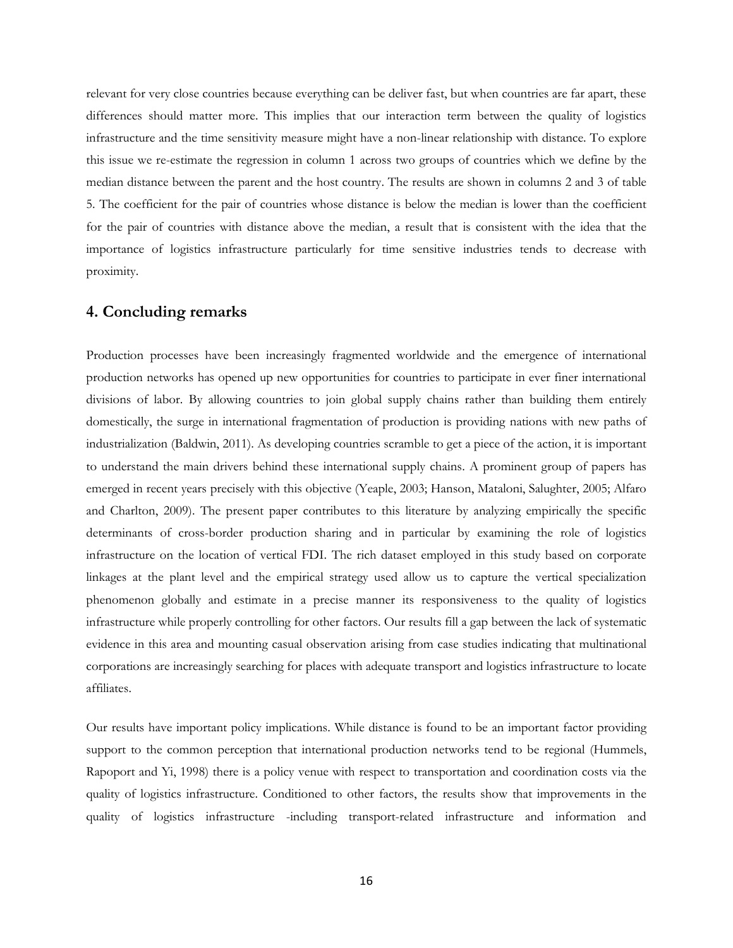relevant for very close countries because everything can be deliver fast, but when countries are far apart, these differences should matter more. This implies that our interaction term between the quality of logistics infrastructure and the time sensitivity measure might have a non-linear relationship with distance. To explore this issue we re-estimate the regression in column 1 across two groups of countries which we define by the median distance between the parent and the host country. The results are shown in columns 2 and 3 of table 5. The coefficient for the pair of countries whose distance is below the median is lower than the coefficient for the pair of countries with distance above the median, a result that is consistent with the idea that the importance of logistics infrastructure particularly for time sensitive industries tends to decrease with proximity.

## **4. Concluding remarks**

Production processes have been increasingly fragmented worldwide and the emergence of international production networks has opened up new opportunities for countries to participate in ever finer international divisions of labor. By allowing countries to join global supply chains rather than building them entirely domestically, the surge in international fragmentation of production is providing nations with new paths of industrialization (Baldwin, 2011). As developing countries scramble to get a piece of the action, it is important to understand the main drivers behind these international supply chains. A prominent group of papers has emerged in recent years precisely with this objective (Yeaple, 2003; Hanson, Mataloni, Salughter, 2005; Alfaro and Charlton, 2009). The present paper contributes to this literature by analyzing empirically the specific determinants of cross-border production sharing and in particular by examining the role of logistics infrastructure on the location of vertical FDI. The rich dataset employed in this study based on corporate linkages at the plant level and the empirical strategy used allow us to capture the vertical specialization phenomenon globally and estimate in a precise manner its responsiveness to the quality of logistics infrastructure while properly controlling for other factors. Our results fill a gap between the lack of systematic evidence in this area and mounting casual observation arising from case studies indicating that multinational corporations are increasingly searching for places with adequate transport and logistics infrastructure to locate affiliates.

Our results have important policy implications. While distance is found to be an important factor providing support to the common perception that international production networks tend to be regional (Hummels, Rapoport and Yi, 1998) there is a policy venue with respect to transportation and coordination costs via the quality of logistics infrastructure. Conditioned to other factors, the results show that improvements in the quality of logistics infrastructure -including transport-related infrastructure and information and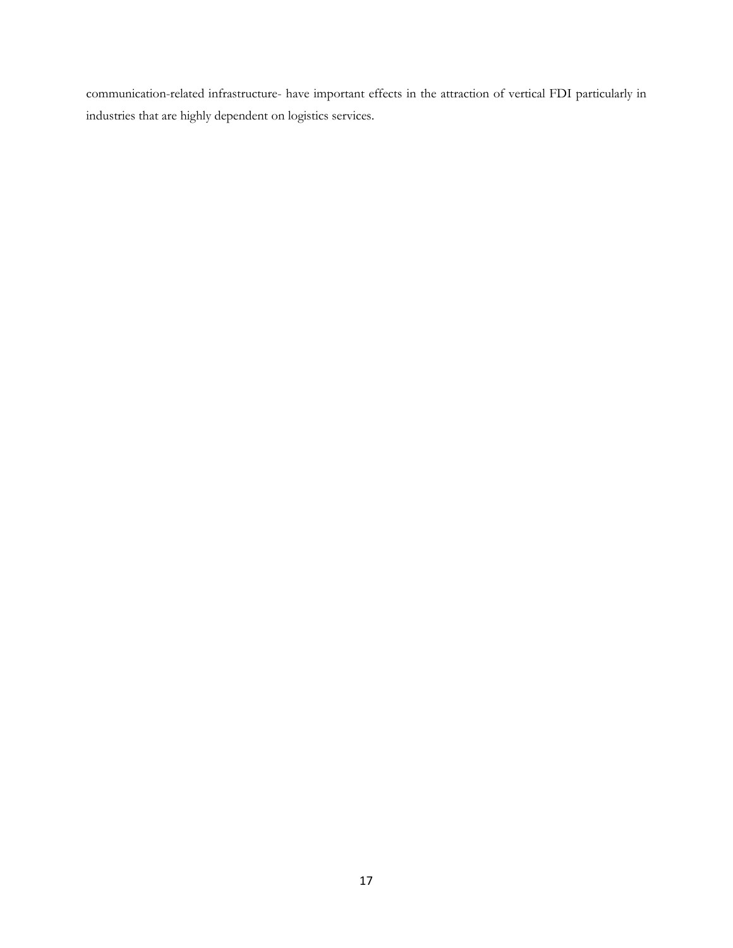communication-related infrastructure- have important effects in the attraction of vertical FDI particularly in industries that are highly dependent on logistics services.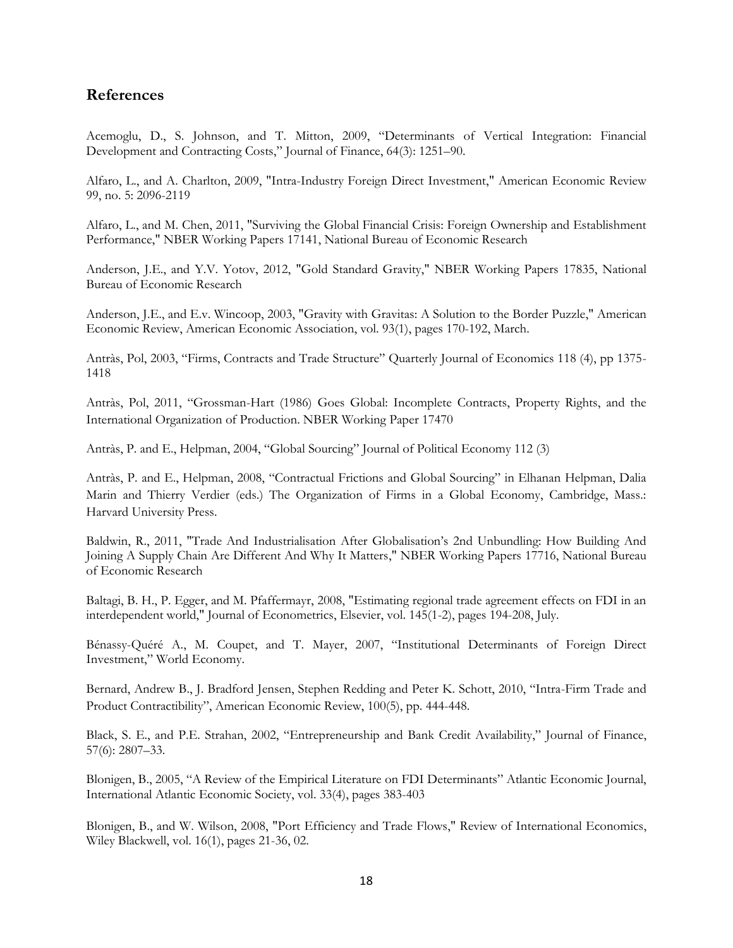# **References**

Acemoglu, D., S. Johnson, and T. Mitton, 2009, "Determinants of Vertical Integration: Financial Development and Contracting Costs," Journal of Finance, 64(3): 1251–90.

Alfaro, L., and A. Charlton, 2009, ["Intra-Industry Foreign Direct Investment,](http://www.hbs.edu/research/facpubs/workingpapers/papers0708.html#wp08-018)" American Economic Review 99, no. 5: 2096-2119

Alfaro, L., and M. Chen, 2011, ["Surviving the Global Financial Crisis: Foreign Ownership and Establishment](http://ideas.repec.org/p/nbr/nberwo/17141.html)  [Performance,](http://ideas.repec.org/p/nbr/nberwo/17141.html)" [NBER Working Papers](http://ideas.repec.org/s/nbr/nberwo.html) 17141, National Bureau of Economic Research

Anderson, J.E., and Y.V. Yotov, 2012, ["Gold Standard Gravity,](http://ideas.repec.org/p/nbr/nberwo/17835.html)" [NBER Working Papers](http://ideas.repec.org/s/nbr/nberwo.html) 17835, National Bureau of Economic Research

Anderson, J.E., and E.v. Wincoop, 2003, ["Gravity with Gravitas: A Solution to the Border Puzzle,](http://ideas.repec.org/a/aea/aecrev/v93y2003i1p170-192.html)[" American](http://ideas.repec.org/s/aea/aecrev.html)  [Economic Review,](http://ideas.repec.org/s/aea/aecrev.html) American Economic Association, vol. 93(1), pages 170-192, March.

Antràs, Pol, 2003, "Firms, Contracts and Trade Structure" Quarterly Journal of Economics 118 (4), pp 1375- 1418

Antràs, Pol, 2011, "Grossman-Hart (1986) Goes Global: Incomplete Contracts, Property Rights, and the International Organization of Production. NBER Working Paper 17470

Antràs, P. and E., Helpman, 2004, "Global Sourcing" Journal of Political Economy 112 (3)

Antràs, P. and E., Helpman, 2008, "Contractual Frictions and Global Sourcing" in Elhanan Helpman, Dalia Marin and Thierry Verdier (eds.) The Organization of Firms in a Global Economy, Cambridge, Mass.: Harvard University Press.

Baldwin, R., 2011, "Trade And [Industrialisation After Globalisation's 2nd Unbundling: How Building And](http://ideas.repec.org/p/nbr/nberwo/17716.html)  [Joining A Supply Chain Are Different And Why It Matters,](http://ideas.repec.org/p/nbr/nberwo/17716.html)" [NBER Working Papers](http://ideas.repec.org/s/nbr/nberwo.html) 17716, National Bureau of Economic Research

Baltagi, B. H., P. Egger, and M. Pfaffermayr, 2008, "Estimating regional trade agreement effects on FDI in an interdependent world," Journal of Econometrics, Elsevier, vol. 145(1-2), pages 194-208, July.

Bénassy-Quéré A., M. Coupet, and T. Mayer, 2007, "Institutional Determinants of Foreign Direct Investment," World Economy.

Bernard, Andrew B., J. Bradford Jensen, Stephen Redding and Peter K. Schott, 2010, "Intra-Firm Trade and Product Contractibility", American Economic Review, 100(5), pp. 444-448.

Black, S. E., and P.E. Strahan, 2002, "Entrepreneurship and Bank Credit Availability," Journal of Finance, 57(6): 2807–33.

Blonigen, B., 2005, "A Review of the Empirical Literature on FDI Determinants" Atlantic Economic Journal, International Atlantic Economic Society, vol. 33(4), pages 383-403

Blonigen, B., and W. Wilson, 2008, ["Port Efficiency and Trade Flows,](http://ideas.repec.org/a/bla/reviec/v16y2008i1p21-36.html)" [Review of International Economics,](http://ideas.repec.org/s/bla/reviec.html) Wiley Blackwell, vol. 16(1), pages 21-36, 02.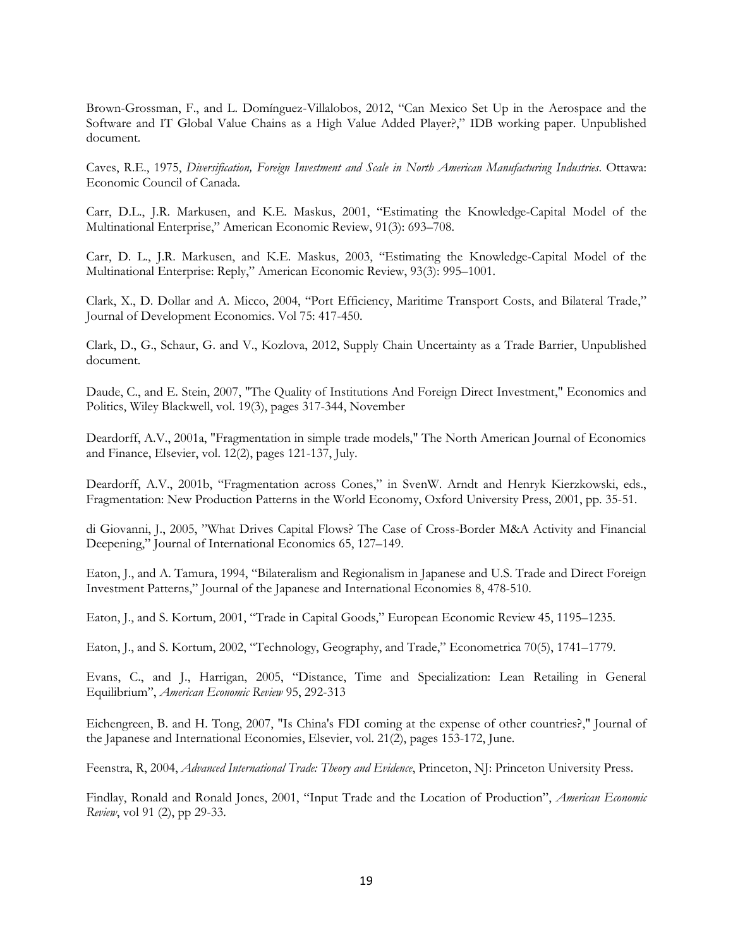Brown-Grossman, F., and L. Domínguez-Villalobos, 2012, "Can Mexico Set Up in the Aerospace and the Software and IT Global Value Chains as a High Value Added Player?," IDB working paper. Unpublished document.

Caves, R.E., 1975, *Diversification, Foreign Investment and Scale in North American Manufacturing Industries*. Ottawa: Economic Council of Canada.

Carr, D.L., J.R. Markusen, and K.E. Maskus, 2001, "Estimating the Knowledge-Capital Model of the Multinational Enterprise," American Economic Review, 91(3): 693–708.

Carr, D. L., J.R. Markusen, and K.E. Maskus, 2003, "Estimating the Knowledge-Capital Model of the Multinational Enterprise: Reply," American Economic Review, 93(3): 995–1001.

Clark, X., D. Dollar and A. Micco, 2004, "Port Efficiency, Maritime Transport Costs, and Bilateral Trade," Journal of Development Economics. Vol 75: 417-450.

Clark, D., G., Schaur, G. and V., Kozlova, 2012, Supply Chain Uncertainty as a Trade Barrier, Unpublished document.

Daude, C., and E. Stein, 2007, ["The Quality of Institutions And Foreign Direct Investment,](http://ideas.repec.org/a/bla/ecopol/v19y2007i3p317-344.html)" [Economics and](http://ideas.repec.org/s/bla/ecopol.html)  [Politics,](http://ideas.repec.org/s/bla/ecopol.html) Wiley Blackwell, vol. 19(3), pages 317-344, November

Deardorff, A.V., 2001a, "Fragmentation in simple trade models," The North American Journal of Economics and Finance, Elsevier, vol. 12(2), pages 121-137, July.

Deardorff, A.V., 2001b, "Fragmentation across Cones," in SvenW. Arndt and Henryk Kierzkowski, eds., Fragmentation: New Production Patterns in the World Economy, Oxford University Press, 2001, pp. 35-51.

di Giovanni, J., 2005, "What Drives Capital Flows? The Case of Cross-Border M&A Activity and Financial Deepening," Journal of International Economics 65, 127–149.

Eaton, J., and A. Tamura, 1994, "Bilateralism and Regionalism in Japanese and U.S. Trade and Direct Foreign Investment Patterns," Journal of the Japanese and International Economies 8, 478-510.

Eaton, J., and S. Kortum, 2001, "Trade in Capital Goods," European Economic Review 45, 1195–1235.

Eaton, J., and S. Kortum, 2002, "Technology, Geography, and Trade," Econometrica 70(5), 1741–1779.

Evans, C., and J., Harrigan, 2005, "Distance, Time and Specialization: Lean Retailing in General Equilibrium", *American Economic Review* 95, 292-313

Eichengreen, B. and H. Tong, 2007, ["Is China's FDI coming at the expense of other countries?,"](http://ideas.repec.org/a/eee/jjieco/v21y2007i2p153-172.html) [Journal of](http://ideas.repec.org/s/eee/jjieco.html)  [the Japanese and International Economies,](http://ideas.repec.org/s/eee/jjieco.html) Elsevier, vol. 21(2), pages 153-172, June.

Feenstra, R, 2004, *Advanced International Trade: Theory and Evidence*, Princeton, NJ: Princeton University Press.

Findlay, Ronald and Ronald Jones, 2001, "Input Trade and the Location of Production", *American Economic Review*, vol 91 (2), pp 29-33.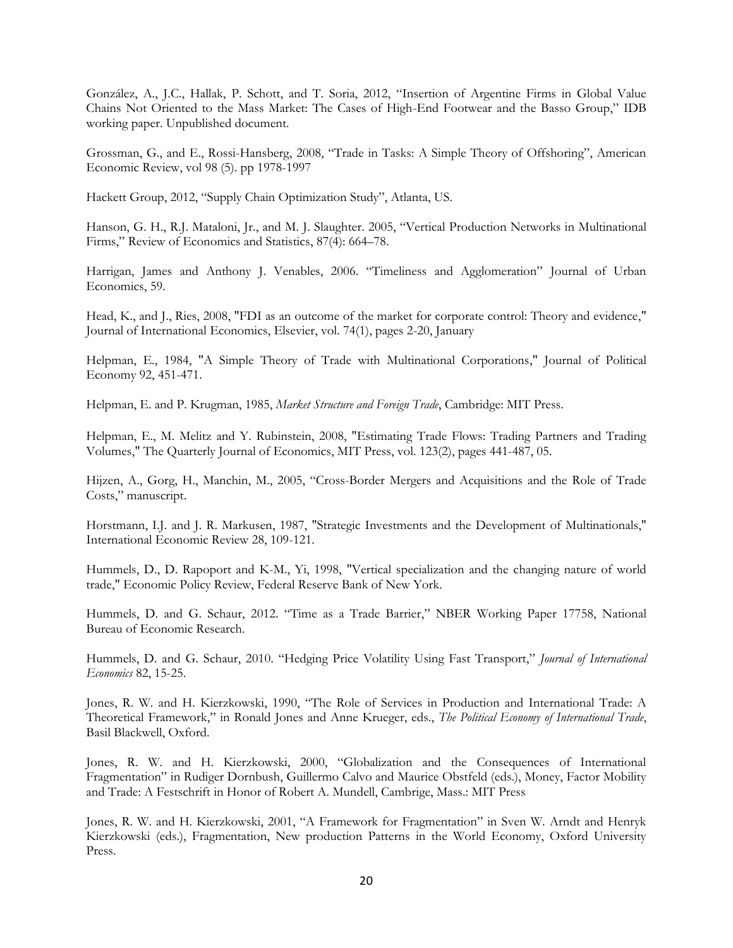González, A., J.C., Hallak, P. Schott, and T. Soria, 2012, "Insertion of Argentine Firms in Global Value Chains Not Oriented to the Mass Market: The Cases of High-End Footwear and the Basso Group," IDB working paper. Unpublished document.

Grossman, G., and E., Rossi-Hansberg, 2008, "Trade in Tasks: A Simple Theory of Offshoring", American Economic Review, vol 98 (5). pp 1978-1997

Hackett Group, 2012, "Supply Chain Optimization Study", Atlanta, US.

Hanson, G. H., R.J. Mataloni, Jr., and M. J. Slaughter. 2005, "Vertical Production Networks in Multinational Firms," Review of Economics and Statistics, 87(4): 664–78.

Harrigan, James and Anthony J. Venables, 2006. "Timeliness and Agglomeration" Journal of Urban Economics, 59.

Head, K., and J., Ries, 2008, ["FDI as an outcome of the market for corporate control: Theory and evidence,](http://ideas.repec.org/a/eee/inecon/v74y2008i1p2-20.html)" [Journal of International](http://ideas.repec.org/s/eee/inecon.html) Economics, Elsevier, vol. 74(1), pages 2-20, January

Helpman, E., 1984, "A Simple Theory of Trade with Multinational Corporations," Journal of Political Economy 92, 451-471.

Helpman, E. and P. Krugman, 1985, *Market Structure and Foreign Trade*, Cambridge: MIT Press.

Helpman, E., M. Melitz and Y. Rubinstein, 2008, ["Estimating Trade Flows: Trading Partners and Trading](http://ideas.repec.org/a/tpr/qjecon/v123y2008i2p441-487.html)  [Volumes,](http://ideas.repec.org/a/tpr/qjecon/v123y2008i2p441-487.html)[" The Quarterly Journal of Economics,](http://ideas.repec.org/s/tpr/qjecon.html) MIT Press, vol. 123(2), pages 441-487, 05.

Hijzen, A., Gorg, H., Manchin, M., 2005, "Cross-Border Mergers and Acquisitions and the Role of Trade Costs," manuscript.

Horstmann, I.J. and J. R. Markusen, 1987, "Strategic Investments and the Development of Multinationals," International Economic Review 28, 109-121.

Hummels, D., D. Rapoport and K-M., Yi, 1998, "Vertical specialization and the changing nature of world trade," Economic Policy Review, Federal Reserve Bank of New York.

Hummels, D. and G. Schaur, 2012. "Time as a Trade Barrier," NBER Working Paper 17758, National Bureau of Economic Research.

Hummels, D. and G. Schaur, 2010. "Hedging Price Volatility Using Fast Transport," *Journal of International Economics* 82, 15-25.

Jones, R. W. and H. Kierzkowski, 1990, "The Role of Services in Production and International Trade: A Theoretical Framework," in Ronald Jones and Anne Krueger, eds., *The Political Economy of International Trade*, Basil Blackwell, Oxford.

Jones, R. W. and H. Kierzkowski, 2000, "Globalization and the Consequences of International Fragmentation" in Rudiger Dornbush, Guillermo Calvo and Maurice Obstfeld (eds.), Money, Factor Mobility and Trade: A Festschrift in Honor of Robert A. Mundell, Cambrige, Mass.: MIT Press

Jones, R. W. and H. Kierzkowski, 2001, "A Framework for Fragmentation" in Sven W. Arndt and Henryk Kierzkowski (eds.), Fragmentation, New production Patterns in the World Economy, Oxford University Press.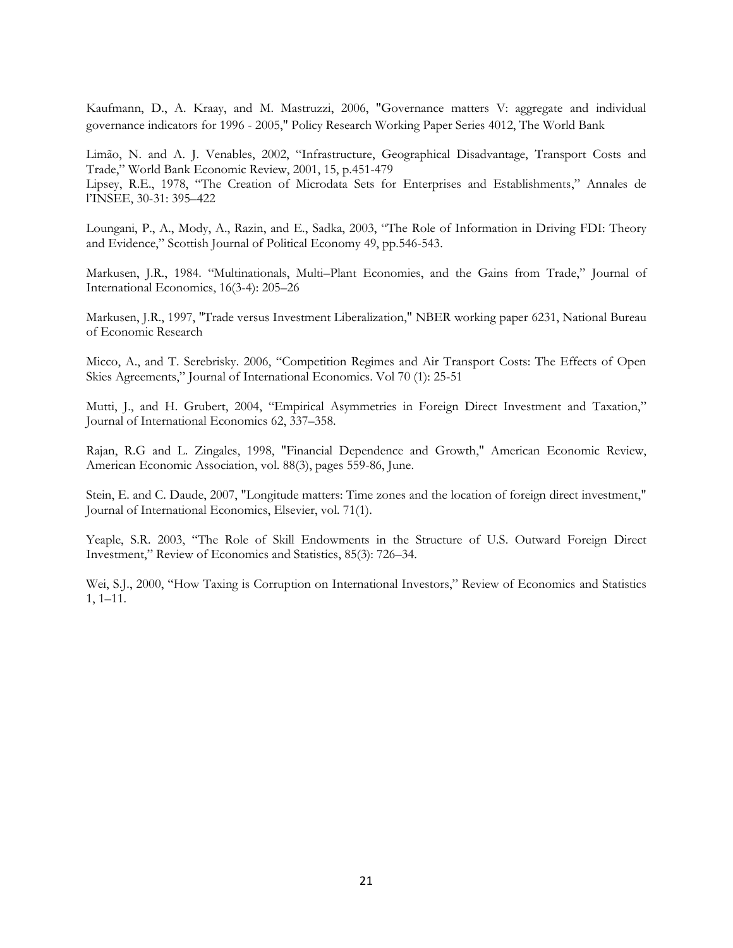Kaufmann, D., A. Kraay, and M. Mastruzzi, 2006, "Governance matters V: aggregate and individual governance indicators for 1996 - 2005," Policy Research Working Paper Series 4012, The World Bank

Limão, N. and A. J. Venables, 2002, "Infrastructure, Geographical Disadvantage, Transport Costs and Trade," World Bank Economic Review, 2001, 15, p.451-479 Lipsey, R.E., 1978, "The Creation of Microdata Sets for Enterprises and Establishments," Annales de l'INSEE, 30-31: 395–422

Loungani, P., A., Mody, A., Razin, and E., Sadka, 2003, "The Role of Information in Driving FDI: Theory and Evidence," Scottish Journal of Political Economy 49, pp.546-543.

Markusen, J.R., 1984. "Multinationals, Multi–Plant Economies, and the Gains from Trade," Journal of International Economics, 16(3-4): 205–26

Markusen, J.R., 1997, "Trade versus Investment Liberalization," NBER working paper 6231, National Bureau of Economic Research

Micco, A., and T. Serebrisky. 2006, "Competition Regimes and Air Transport Costs: The Effects of Open Skies Agreements," Journal of International Economics. Vol 70 (1): 25-51

Mutti, J., and H. Grubert, 2004, "Empirical Asymmetries in Foreign Direct Investment and Taxation," Journal of International Economics 62, 337–358.

Rajan, R.G and L. Zingales, 1998, ["Financial Dependence and Growth,](http://ideas.repec.org/a/aea/aecrev/v88y1998i3p559-86.html)" [American Economic Review,](http://ideas.repec.org/s/aea/aecrev.html) American Economic Association, vol. 88(3), pages 559-86, June.

Stein, E. and C. Daude, 2007, "Longitude matters: Time zones and the location of foreign direct investment," Journal of International Economics, Elsevier, vol. 71(1).

Yeaple, S.R. 2003, "The Role of Skill Endowments in the Structure of U.S. Outward Foreign Direct Investment," Review of Economics and Statistics, 85(3): 726–34.

Wei, S.J., 2000, "How Taxing is Corruption on International Investors," Review of Economics and Statistics 1, 1–11.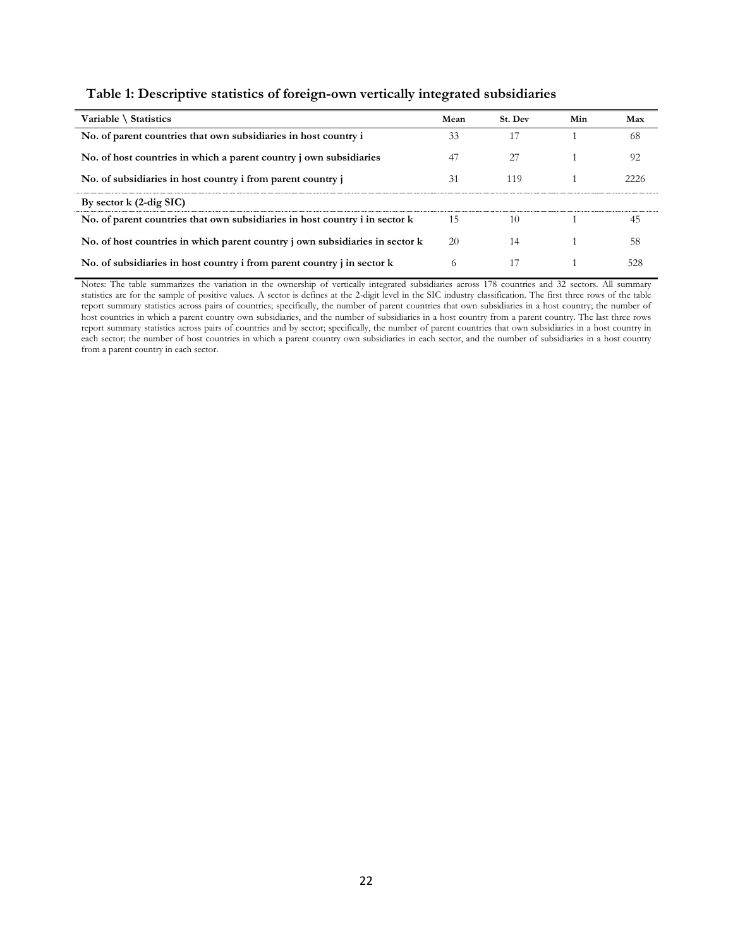### **Table 1: Descriptive statistics of foreign-own vertically integrated subsidiaries**

| Variable $\setminus$ Statistics                                              | Mean | St. Dev | Min | Max  |
|------------------------------------------------------------------------------|------|---------|-----|------|
| No. of parent countries that own subsidiaries in host country i              | 33   | 17      |     | 68   |
| No. of host countries in which a parent country j own subsidiaries           | 47   | 27      |     | 92   |
| No. of subsidiaries in host country i from parent country j                  | 31   | 119     |     | 2226 |
| By sector $k$ (2-dig SIC)                                                    |      |         |     |      |
| No. of parent countries that own subsidiaries in host country i in sector k  | 15   | 10      |     | 45   |
| No. of host countries in which parent country j own subsidiaries in sector k | 20   | 14      |     | 58   |
| No. of subsidiaries in host country i from parent country i in sector k      | 6    |         |     | 528  |

Notes: The table summarizes the variation in the ownership of vertically integrated subsidiaries across 178 countries and 32 sectors. All summary statistics are for the sample of positive values. A sector is defines at the 2-digit level in the SIC industry classification. The first three rows of the table report summary statistics across pairs of countries; specifically, the number of parent countries that own subsidiaries in a host country; the number of host countries in which a parent country own subsidiaries, and the number of subsidiaries in a host country from a parent country. The last three rows report summary statistics across pairs of countries and by sector; specifically, the number of parent countries that own subsidiaries in a host country in each sector; the number of host countries in which a parent country own subsidiaries in each sector, and the number of subsidiaries in a host country from a parent country in each sector.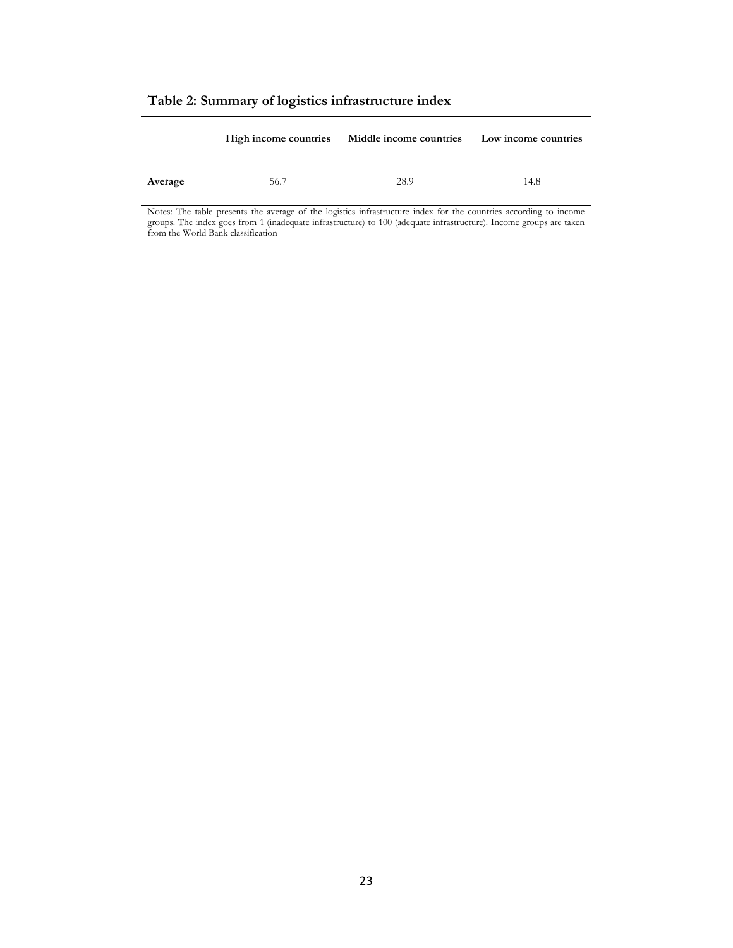|         |      | High income countries Middle income countries Low income countries |      |
|---------|------|--------------------------------------------------------------------|------|
| Average | 56.7 | 28.9                                                               | 14.8 |

# **Table 2: Summary of logistics infrastructure index**

Notes: The table presents the average of the logistics infrastructure index for the countries according to income groups. The index goes from 1 (inadequate infrastructure) to 100 (adequate infrastructure). Income groups are taken from the World Bank classification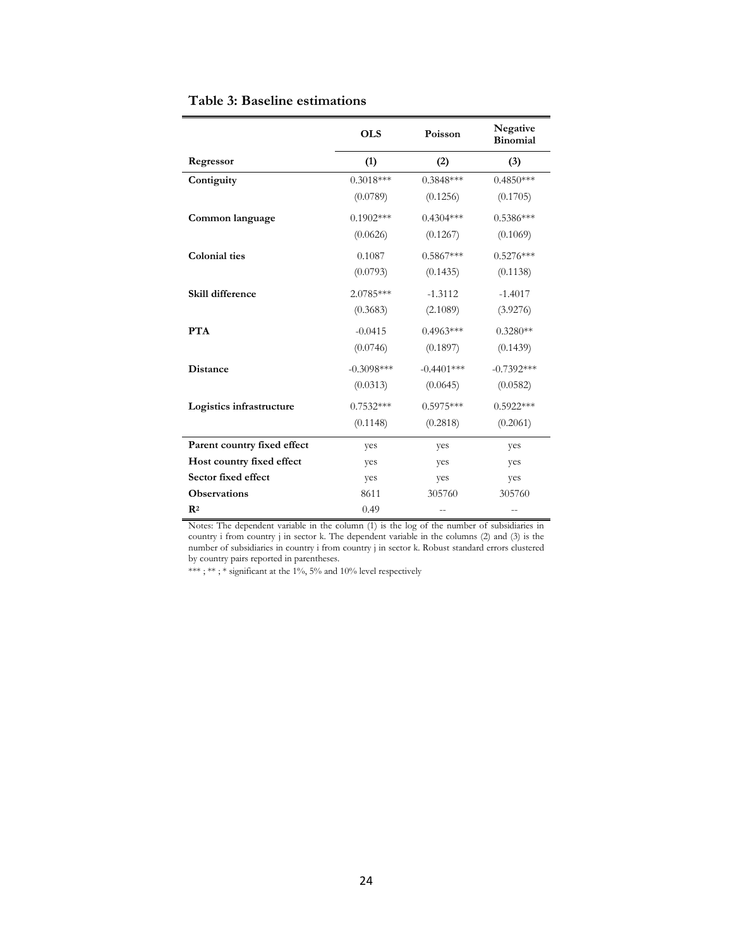|                             | <b>OLS</b>   | Poisson      | Negative<br><b>Binomial</b> |
|-----------------------------|--------------|--------------|-----------------------------|
| Regressor                   | (1)          | (2)          | (3)                         |
| Contiguity                  | $0.3018***$  | $0.3848***$  | $0.4850***$                 |
|                             | (0.0789)     | (0.1256)     | (0.1705)                    |
| Common language             | $0.1902***$  | $0.4304***$  | $0.5386***$                 |
|                             | (0.0626)     | (0.1267)     | (0.1069)                    |
| <b>Colonial ties</b>        | 0.1087       | $0.5867***$  | $0.5276***$                 |
|                             | (0.0793)     | (0.1435)     | (0.1138)                    |
| Skill difference            | 2.0785***    | $-1.3112$    | $-1.4017$                   |
|                             | (0.3683)     | (2.1089)     | (3.9276)                    |
| <b>PTA</b>                  | $-0.0415$    | $0.4963***$  | $0.3280**$                  |
|                             | (0.0746)     | (0.1897)     | (0.1439)                    |
| <b>Distance</b>             | $-0.3098***$ | $-0.4401***$ | $-0.7392***$                |
|                             | (0.0313)     | (0.0645)     | (0.0582)                    |
| Logistics infrastructure    | $0.7532***$  | $0.5975***$  | $0.5922***$                 |
|                             | (0.1148)     | (0.2818)     | (0.2061)                    |
| Parent country fixed effect | yes          | yes          | yes                         |
| Host country fixed effect   | yes          | yes          | yes                         |
| Sector fixed effect         | yes          | yes          | yes                         |
| <b>Observations</b>         | 8611         | 305760       | 305760                      |
| $\mathbb{R}^2$              | 0.49         |              |                             |

# **Table 3: Baseline estimations**

Notes: The dependent variable in the column (1) is the log of the number of subsidiaries in country i from country j in sector k. The dependent variable in the columns (2) and (3) is the number of subsidiaries in country i from country j in sector k. Robust standard errors clustered by country pairs reported in parentheses.

\*\*\* ; \*\* ; \* significant at the 1%, 5% and 10% level respectively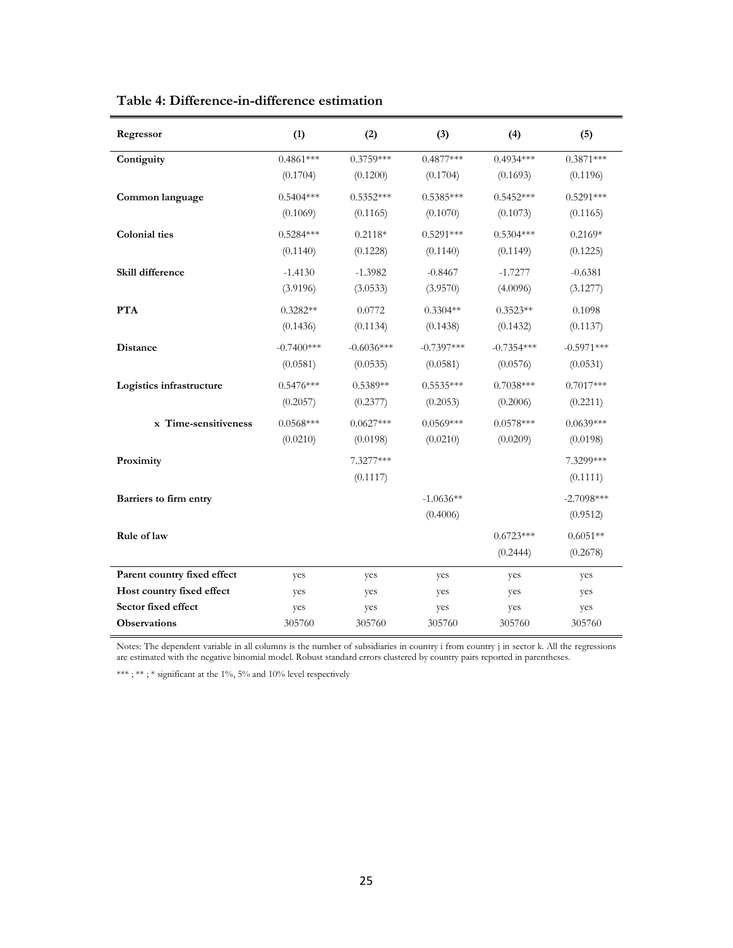| Regressor                   | (1)          | (2)          | (3)          | (4)          | (5)          |
|-----------------------------|--------------|--------------|--------------|--------------|--------------|
| Contiguity                  | $0.4861***$  | $0.3759***$  | $0.4877***$  | $0.4934***$  | $0.3871***$  |
|                             | (0.1704)     | (0.1200)     | (0.1704)     | (0.1693)     | (0.1196)     |
| Common language             | $0.5404***$  | $0.5352***$  | $0.5385***$  | $0.5452***$  | $0.5291***$  |
|                             | (0.1069)     | (0.1165)     | (0.1070)     | (0.1073)     | (0.1165)     |
| <b>Colonial</b> ties        | $0.5284***$  | $0.2118*$    | $0.5291***$  | $0.5304***$  | $0.2169*$    |
|                             | (0.1140)     | (0.1228)     | (0.1140)     | (0.1149)     | (0.1225)     |
| Skill difference            | $-1.4130$    | $-1.3982$    | $-0.8467$    | $-1.7277$    | $-0.6381$    |
|                             | (3.9196)     | (3.0533)     | (3.9570)     | (4.0096)     | (3.1277)     |
| <b>PTA</b>                  | $0.3282**$   | 0.0772       | $0.3304**$   | $0.3523**$   | 0.1098       |
|                             | (0.1436)     | (0.1134)     | (0.1438)     | (0.1432)     | (0.1137)     |
| <b>Distance</b>             | $-0.7400***$ | $-0.6036***$ | $-0.7397***$ | $-0.7354***$ | $-0.5971***$ |
|                             | (0.0581)     | (0.0535)     | (0.0581)     | (0.0576)     | (0.0531)     |
| Logistics infrastructure    | $0.5476***$  | $0.5389**$   | $0.5535***$  | $0.7038***$  | $0.7017***$  |
|                             | (0.2057)     | (0.2377)     | (0.2053)     | (0.2006)     | (0.2211)     |
| x Time-sensitiveness        | $0.0568***$  | $0.0627***$  | $0.0569***$  | $0.0578***$  | $0.0639***$  |
|                             | (0.0210)     | (0.0198)     | (0.0210)     | (0.0209)     | (0.0198)     |
| Proximity                   |              | 7.3277***    |              |              | 7.3299***    |
|                             |              | (0.1117)     |              |              | (0.1111)     |
| Barriers to firm entry      |              |              | $-1.0636**$  |              | $-2.7098***$ |
|                             |              |              | (0.4006)     |              | (0.9512)     |
| Rule of law                 |              |              |              | $0.6723***$  | $0.6051**$   |
|                             |              |              |              | (0.2444)     | (0.2678)     |
| Parent country fixed effect | yes          | yes          | yes          | yes          | yes          |
| Host country fixed effect   | yes          | yes          | yes          | yes          | yes          |
| Sector fixed effect         | yes          | yes          | yes          | yes          | yes          |
| Observations                | 305760       | 305760       | 305760       | 305760       | 305760       |

## **Table 4: Difference-in-difference estimation**

Notes: The dependent variable in all columns is the number of subsidiaries in country i from country j in sector k. All the regressions are estimated with the negative binomial model. Robust standard errors clustered by country pairs reported in parentheses.

\*\*\* ; \*\* ; \* significant at the 1%, 5% and 10% level respectively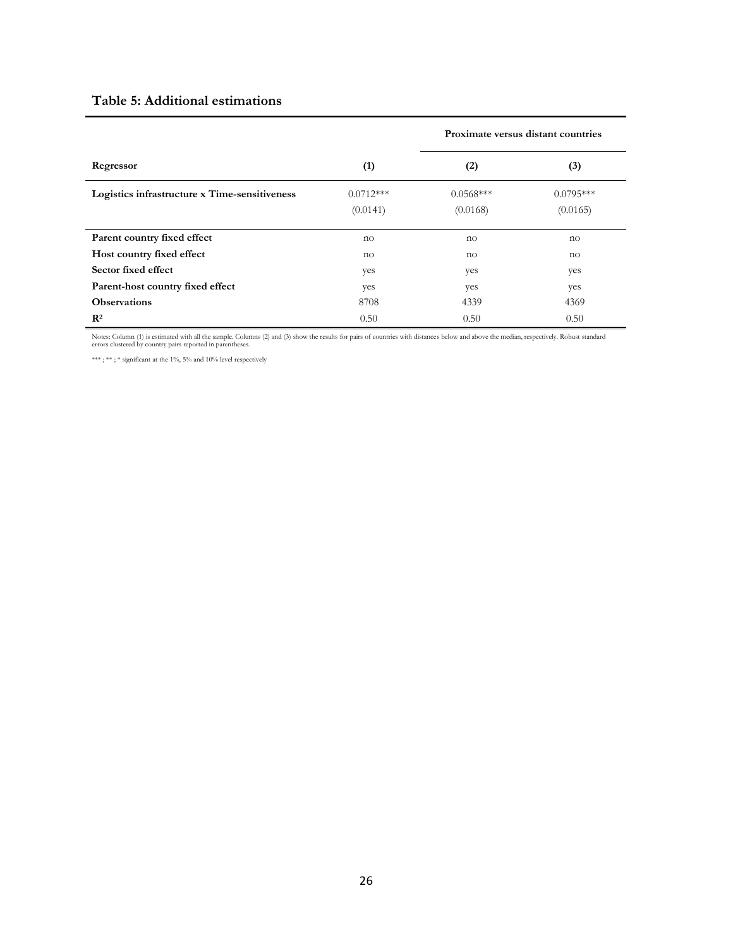# **Table 5: Additional estimations**

|                                               |             | Proximate versus distant countries |             |  |
|-----------------------------------------------|-------------|------------------------------------|-------------|--|
| Regressor                                     | (1)         | (2)                                | (3)         |  |
| Logistics infrastructure x Time-sensitiveness | $0.0712***$ | $0.0568***$                        | $0.0795***$ |  |
|                                               | (0.0141)    | (0.0168)                           | (0.0165)    |  |
| Parent country fixed effect                   | no          | no                                 | no          |  |
| Host country fixed effect                     | no          | no                                 | no          |  |
| Sector fixed effect                           | yes         | yes                                | yes         |  |
| Parent-host country fixed effect              | yes         | yes                                | yes         |  |
| <b>Observations</b>                           | 8708        | 4339                               | 4369        |  |
| $\mathbf{R}^2$                                | 0.50        | 0.50                               | 0.50        |  |

Notes: Column (1) is estimated with all the sample. Columns (2) and (3) show the results for pairs of countries with distances below and above the median, respectively. Robust standard<br>errors clustered by country pairs rep

 $\ast\ast\ast$  ;  $\ast\ast$  significant at the 1%, 5% and 10% level respectively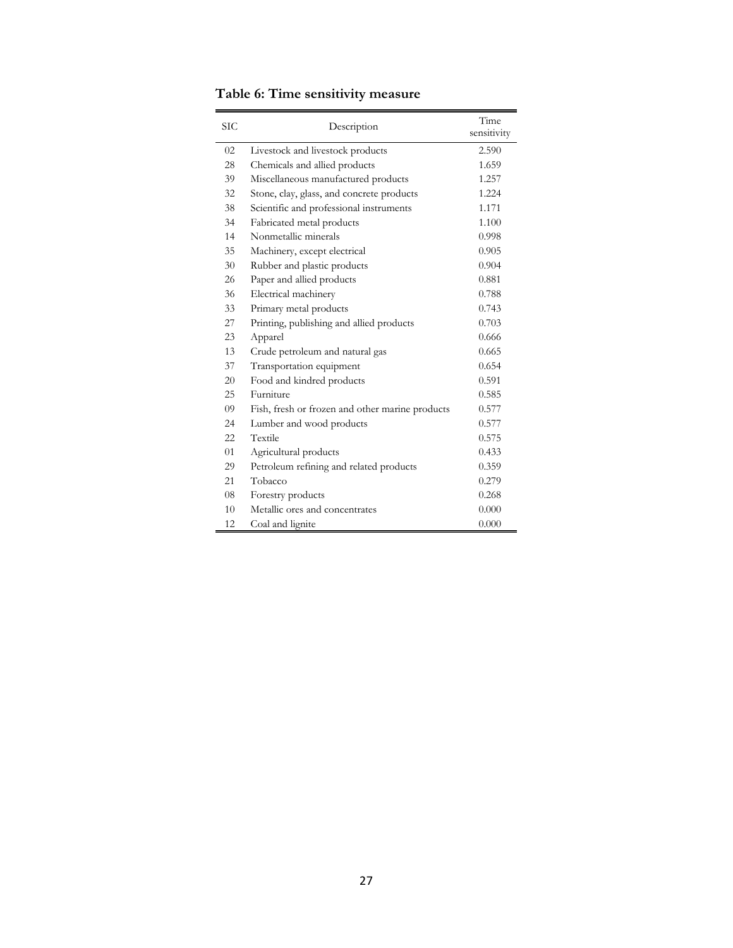| <b>SIC</b> | Description                                     | Time<br>sensitivity |
|------------|-------------------------------------------------|---------------------|
| 02         | Livestock and livestock products                | 2.590               |
| 28         | Chemicals and allied products                   | 1.659               |
| 39         | Miscellaneous manufactured products             | 1.257               |
| 32         | Stone, clay, glass, and concrete products       | 1.224               |
| 38         | Scientific and professional instruments         | 1.171               |
| 34         | Fabricated metal products                       | 1.100               |
| 14         | Nonmetallic minerals                            | 0.998               |
| 35         | Machinery, except electrical                    | 0.905               |
| $30\,$     | Rubber and plastic products                     | 0.904               |
| 26         | Paper and allied products                       | 0.881               |
| 36         | Electrical machinery                            | 0.788               |
| 33         | Primary metal products                          | 0.743               |
| 27         | Printing, publishing and allied products        | 0.703               |
| 23         | Apparel                                         | 0.666               |
| 13         | Crude petroleum and natural gas                 | 0.665               |
| 37         | Transportation equipment                        | 0.654               |
| 20         | Food and kindred products                       | 0.591               |
| 25         | Furniture                                       | 0.585               |
| 09         | Fish, fresh or frozen and other marine products | 0.577               |
| 24         | Lumber and wood products                        | 0.577               |
| 22         | Textile                                         | 0.575               |
| 01         | Agricultural products                           | 0.433               |
| 29         | Petroleum refining and related products         | 0.359               |
| 21         | Tobacco                                         | 0.279               |
| 08         | Forestry products                               | 0.268               |
| 10         | Metallic ores and concentrates                  | 0.000               |
| 12         | Coal and lignite                                | 0.000               |

**Table 6: Time sensitivity measure**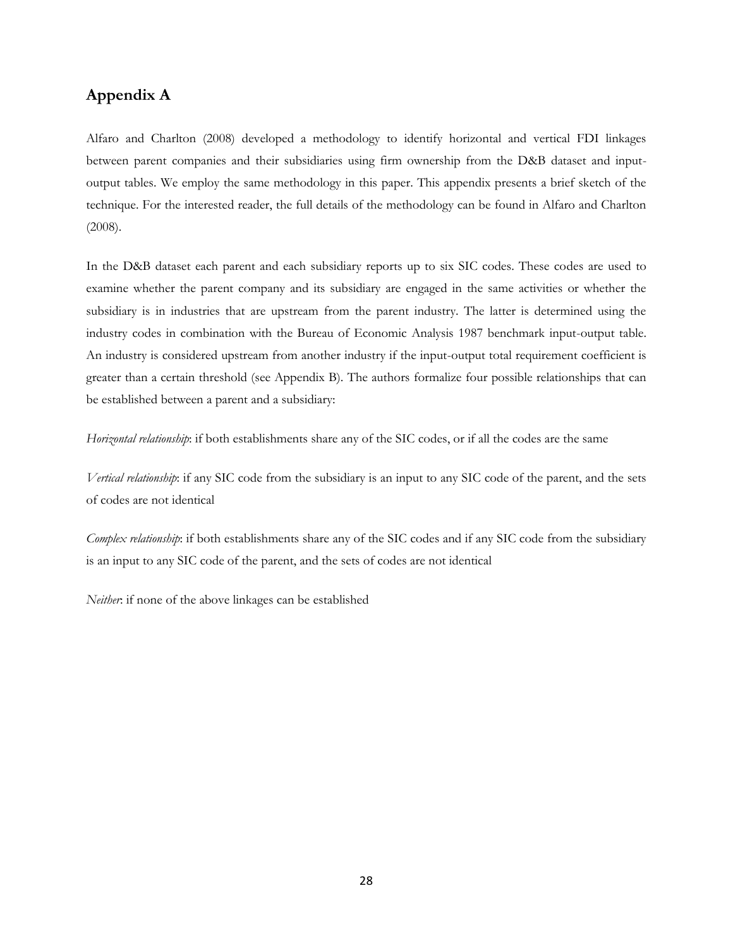# **Appendix A**

Alfaro and Charlton (2008) developed a methodology to identify horizontal and vertical FDI linkages between parent companies and their subsidiaries using firm ownership from the D&B dataset and inputoutput tables. We employ the same methodology in this paper. This appendix presents a brief sketch of the technique. For the interested reader, the full details of the methodology can be found in Alfaro and Charlton (2008).

In the D&B dataset each parent and each subsidiary reports up to six SIC codes. These codes are used to examine whether the parent company and its subsidiary are engaged in the same activities or whether the subsidiary is in industries that are upstream from the parent industry. The latter is determined using the industry codes in combination with the Bureau of Economic Analysis 1987 benchmark input-output table. An industry is considered upstream from another industry if the input-output total requirement coefficient is greater than a certain threshold (see Appendix B). The authors formalize four possible relationships that can be established between a parent and a subsidiary:

*Horizontal relationship*: if both establishments share any of the SIC codes, or if all the codes are the same

*Vertical relationship*: if any SIC code from the subsidiary is an input to any SIC code of the parent, and the sets of codes are not identical

*Complex relationship*: if both establishments share any of the SIC codes and if any SIC code from the subsidiary is an input to any SIC code of the parent, and the sets of codes are not identical

*Neither*: if none of the above linkages can be established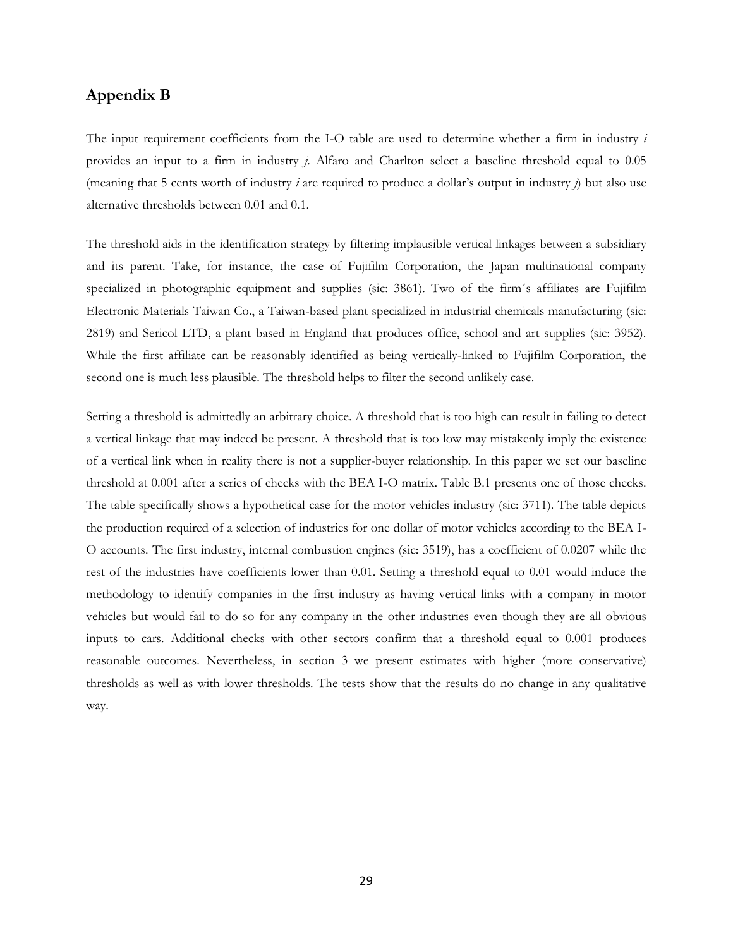## **Appendix B**

The input requirement coefficients from the I-O table are used to determine whether a firm in industry *i* provides an input to a firm in industry *j*. Alfaro and Charlton select a baseline threshold equal to 0.05 (meaning that 5 cents worth of industry *i* are required to produce a dollar's output in industry *j*) but also use alternative thresholds between 0.01 and 0.1.

The threshold aids in the identification strategy by filtering implausible vertical linkages between a subsidiary and its parent. Take, for instance, the case of Fujifilm Corporation, the Japan multinational company specialized in photographic equipment and supplies (sic: 3861). Two of the firm´s affiliates are Fujifilm Electronic Materials Taiwan Co., a Taiwan-based plant specialized in industrial chemicals manufacturing (sic: 2819) and Sericol LTD, a plant based in England that produces office, school and art supplies (sic: 3952). While the first affiliate can be reasonably identified as being vertically-linked to Fujifilm Corporation, the second one is much less plausible. The threshold helps to filter the second unlikely case.

Setting a threshold is admittedly an arbitrary choice. A threshold that is too high can result in failing to detect a vertical linkage that may indeed be present. A threshold that is too low may mistakenly imply the existence of a vertical link when in reality there is not a supplier-buyer relationship. In this paper we set our baseline threshold at 0.001 after a series of checks with the BEA I-O matrix. Table B.1 presents one of those checks. The table specifically shows a hypothetical case for the motor vehicles industry (sic: 3711). The table depicts the production required of a selection of industries for one dollar of motor vehicles according to the BEA I-O accounts. The first industry, internal combustion engines (sic: 3519), has a coefficient of 0.0207 while the rest of the industries have coefficients lower than 0.01. Setting a threshold equal to 0.01 would induce the methodology to identify companies in the first industry as having vertical links with a company in motor vehicles but would fail to do so for any company in the other industries even though they are all obvious inputs to cars. Additional checks with other sectors confirm that a threshold equal to 0.001 produces reasonable outcomes. Nevertheless, in section 3 we present estimates with higher (more conservative) thresholds as well as with lower thresholds. The tests show that the results do no change in any qualitative way.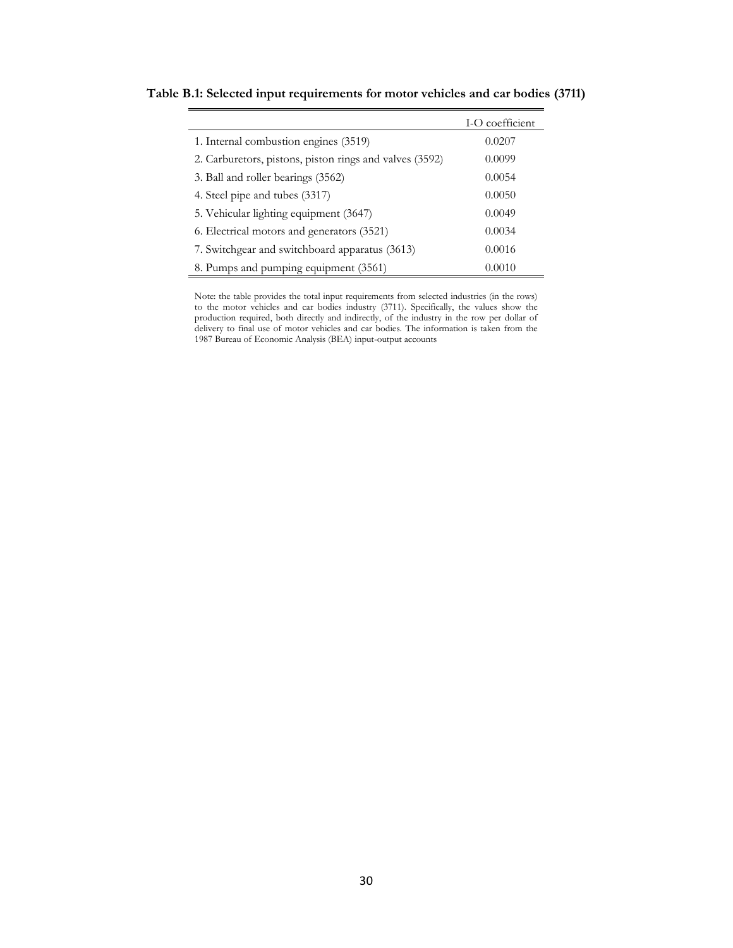|                                                         | I-O coefficient |
|---------------------------------------------------------|-----------------|
| 1. Internal combustion engines (3519)                   | 0.0207          |
| 2. Carburetors, pistons, piston rings and valves (3592) | 0.0099          |
| 3. Ball and roller bearings (3562)                      | 0.0054          |
| 4. Steel pipe and tubes (3317)                          | 0.0050          |
| 5. Vehicular lighting equipment (3647)                  | 0.0049          |
| 6. Electrical motors and generators (3521)              | 0.0034          |
| 7. Switchgear and switchboard apparatus (3613)          | 0.0016          |
| 8. Pumps and pumping equipment (3561)                   | 0.0010          |

**Table B.1: Selected input requirements for motor vehicles and car bodies (3711)**

Note: the table provides the total input requirements from selected industries (in the rows) to the motor vehicles and car bodies industry (3711). Specifically, the values show the production required, both directly and indirectly, of the industry in the row per dollar of delivery to final use of motor vehicles and car bodies. The information is taken from the 1987 Bureau of Economic Analysis (BEA) input-output accounts